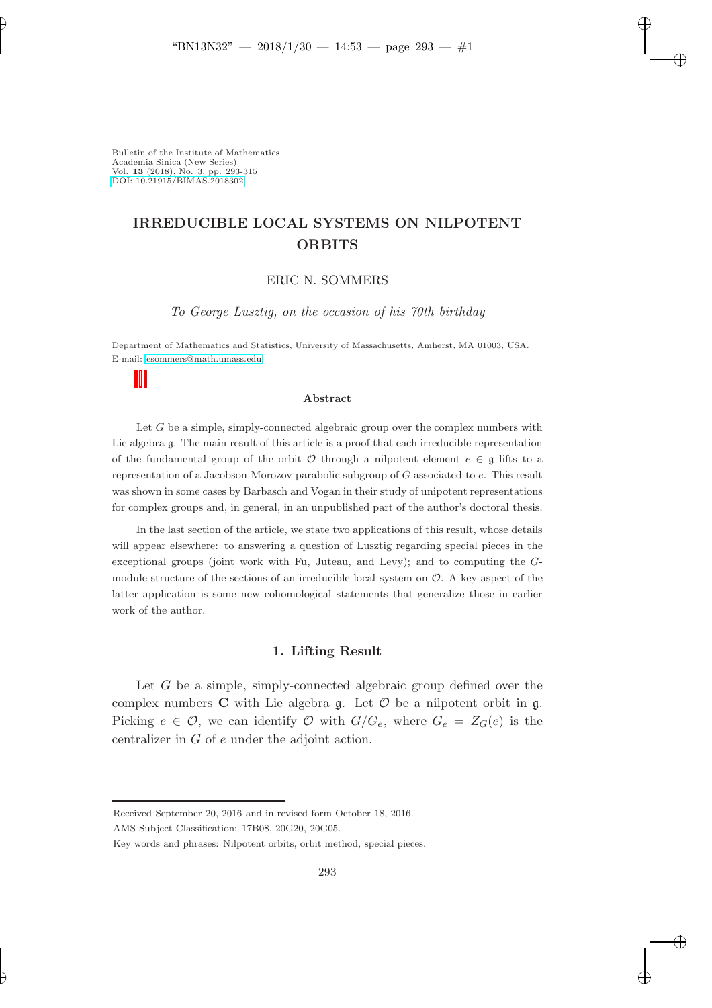Bulletin of the Institute of Mathematics Academia Sinica (New Series) Vol. 13 (2018), No. 3, pp. 293-315 [DOI: 10.21915/BIMAS.2018302](10.21915/BIMAS.2018302)

# IRREDUCIBLE LOCAL SYSTEMS ON NILPOTENT **ORBITS**

### ERIC N. SOMMERS

To George Lusztig, on the occasion of his 70th birthday

Department of Mathematics and Statistics, University of Massachusetts, Amherst, MA 01003, USA. E-mail: [esommers@math.umass.edu](mailto:esommers@math.umass.edu)

#### Abstract

Let  $G$  be a simple, simply-connected algebraic group over the complex numbers with Lie algebra g. The main result of this article is a proof that each irreducible representation of the fundamental group of the orbit  $\mathcal O$  through a nilpotent element  $e \in \mathfrak g$  lifts to a representation of a Jacobson-Morozov parabolic subgroup of G associated to e. This result was shown in some cases by Barbasch and Vogan in their study of unipotent representations for complex groups and, in general, in an unpublished part of the author's doctoral thesis.

In the last section of the article, we state two applications of this result, whose details will appear elsewhere: to answering a question of Lusztig regarding special pieces in the exceptional groups (joint work with Fu, Juteau, and Levy); and to computing the Gmodule structure of the sections of an irreducible local system on  $\mathcal{O}$ . A key aspect of the latter application is some new cohomological statements that generalize those in earlier work of the author.

#### 1. Lifting Result

Let G be a simple, simply-connected algebraic group defined over the complex numbers  $C$  with Lie algebra  $\mathfrak{g}$ . Let  $\mathcal O$  be a nilpotent orbit in  $\mathfrak{g}$ . Picking  $e \in \mathcal{O}$ , we can identify  $\mathcal{O}$  with  $G/G_e$ , where  $G_e = Z_G(e)$  is the centralizer in G of e under the adjoint action.

Received September 20, 2016 and in revised form October 18, 2016.

AMS Subject Classification: 17B08, 20G20, 20G05.

Key words and phrases: Nilpotent orbits, orbit method, special pieces.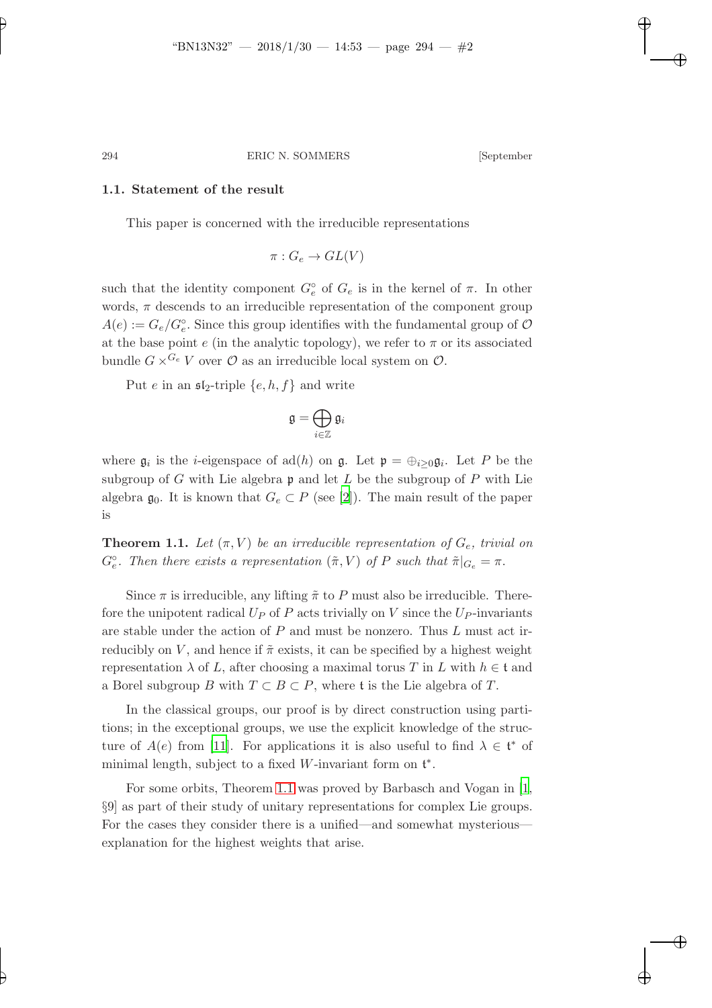#### 1.1. Statement of the result

This paper is concerned with the irreducible representations

$$
\pi: G_e \to GL(V)
$$

such that the identity component  $G_e^{\circ}$  of  $G_e$  is in the kernel of  $\pi$ . In other words,  $\pi$  descends to an irreducible representation of the component group  $A(e) := G_e/G_e^{\circ}$ . Since this group identifies with the fundamental group of  $\mathcal{O}$ at the base point  $e$  (in the analytic topology), we refer to  $\pi$  or its associated bundle  $G \times^{G_e} V$  over  $\mathcal O$  as an irreducible local system on  $\mathcal O$ .

Put e in an  $\mathfrak{sl}_2$ -triple  $\{e, h, f\}$  and write

$$
\mathfrak{g}=\bigoplus_{i\in\mathbb{Z}}\mathfrak{g}_i
$$

where  $\mathfrak{g}_i$  is the *i*-eigenspace of ad(*h*) on  $\mathfrak{g}$ . Let  $\mathfrak{p} = \bigoplus_{i \geq 0} \mathfrak{g}_i$ . Let P be the subgroup of G with Lie algebra  $\mathfrak p$  and let L be the subgroup of P with Lie algebra  $\mathfrak{g}_0$ . It is known that  $G_e \subset P$  (see [\[2](#page-21-0)]). The main result of the paper is

<span id="page-1-0"></span>**Theorem 1.1.** Let  $(\pi, V)$  be an irreducible representation of  $G_e$ , trivial on  $G_e^{\circ}$ . Then there exists a representation  $(\tilde{\pi}, V)$  of P such that  $\tilde{\pi}|_{G_e} = \pi$ .

Since  $\pi$  is irreducible, any lifting  $\tilde{\pi}$  to P must also be irreducible. Therefore the unipotent radical  $U_P$  of P acts trivially on V since the  $U_P$ -invariants are stable under the action of P and must be nonzero. Thus L must act irreducibly on V, and hence if  $\tilde{\pi}$  exists, it can be specified by a highest weight representation  $\lambda$  of L, after choosing a maximal torus T in L with  $h \in \mathfrak{t}$  and a Borel subgroup B with  $T \subset B \subset P$ , where t is the Lie algebra of T.

In the classical groups, our proof is by direct construction using partitions; in the exceptional groups, we use the explicit knowledge of the structure of  $A(e)$  from [\[11\]](#page-22-0). For applications it is also useful to find  $\lambda \in \mathfrak{t}^*$  of minimal length, subject to a fixed W-invariant form on  $t^*$ .

For some orbits, Theorem [1.1](#page-1-0) was proved by Barbasch and Vogan in [\[1,](#page-21-1) §9] as part of their study of unitary representations for complex Lie groups. For the cases they consider there is a unified—and somewhat mysterious explanation for the highest weights that arise.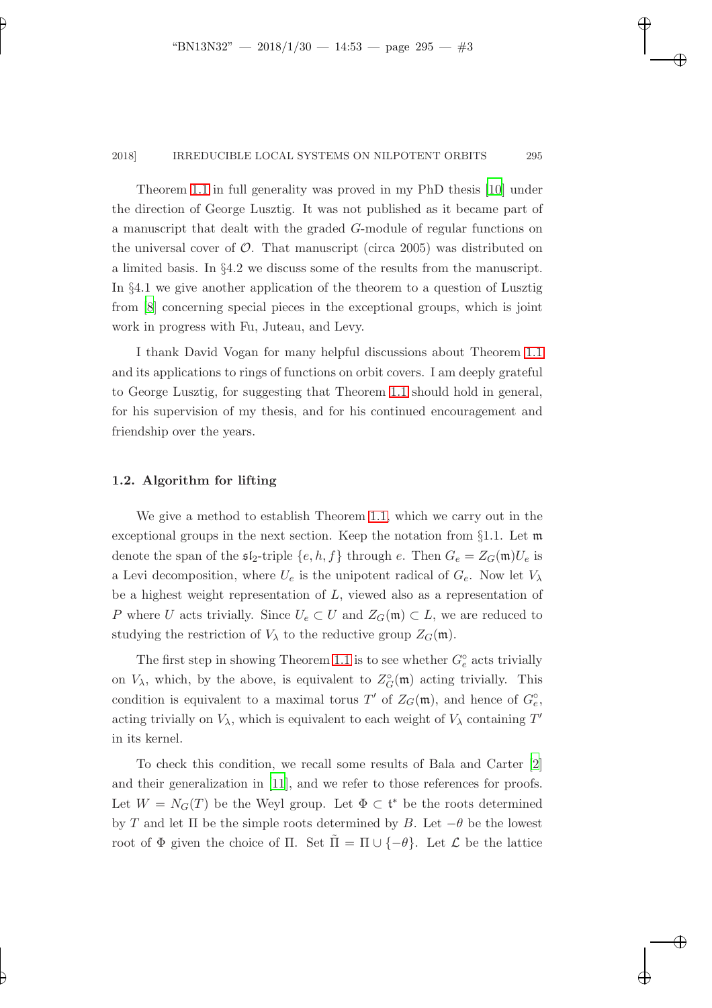Theorem [1.1](#page-1-0) in full generality was proved in my PhD thesis [\[10\]](#page-22-1) under the direction of George Lusztig. It was not published as it became part of a manuscript that dealt with the graded G-module of regular functions on the universal cover of  $\mathcal{O}$ . That manuscript (circa 2005) was distributed on a limited basis. In §4.2 we discuss some of the results from the manuscript. In §4.1 we give another application of the theorem to a question of Lusztig from [\[8\]](#page-22-2) concerning special pieces in the exceptional groups, which is joint work in progress with Fu, Juteau, and Levy.

I thank David Vogan for many helpful discussions about Theorem [1.1](#page-1-0) and its applications to rings of functions on orbit covers. I am deeply grateful to George Lusztig, for suggesting that Theorem [1.1](#page-1-0) should hold in general, for his supervision of my thesis, and for his continued encouragement and friendship over the years.

## 1.2. Algorithm for lifting

We give a method to establish Theorem [1.1,](#page-1-0) which we carry out in the exceptional groups in the next section. Keep the notation from §1.1. Let m denote the span of the  $\mathfrak{sl}_2$ -triple  $\{e, h, f\}$  through e. Then  $G_e = Z_G(\mathfrak{m})U_e$  is a Levi decomposition, where  $U_e$  is the unipotent radical of  $G_e$ . Now let  $V_\lambda$ be a highest weight representation of L, viewed also as a representation of P where U acts trivially. Since  $U_e \subset U$  and  $Z_G(\mathfrak{m}) \subset L$ , we are reduced to studying the restriction of  $V_{\lambda}$  to the reductive group  $Z_G(\mathfrak{m})$ .

The first step in showing Theorem [1.1](#page-1-0) is to see whether  $G_e^{\circ}$  acts trivially on  $V_{\lambda}$ , which, by the above, is equivalent to  $Z_G^{\circ}(\mathfrak{m})$  acting trivially. This condition is equivalent to a maximal torus  $T'$  of  $Z_G(\mathfrak{m})$ , and hence of  $G_e^{\circ}$ , acting trivially on  $V_{\lambda}$ , which is equivalent to each weight of  $V_{\lambda}$  containing  $T'$ in its kernel.

To check this condition, we recall some results of Bala and Carter [\[2](#page-21-0)] and their generalization in [\[11\]](#page-22-0), and we refer to those references for proofs. Let  $W = N_G(T)$  be the Weyl group. Let  $\Phi \subset \mathfrak{t}^*$  be the roots determined by T and let  $\Pi$  be the simple roots determined by B. Let  $-\theta$  be the lowest root of  $\Phi$  given the choice of  $\Pi$ . Set  $\Pi = \Pi \cup \{-\theta\}$ . Let  $\mathcal L$  be the lattice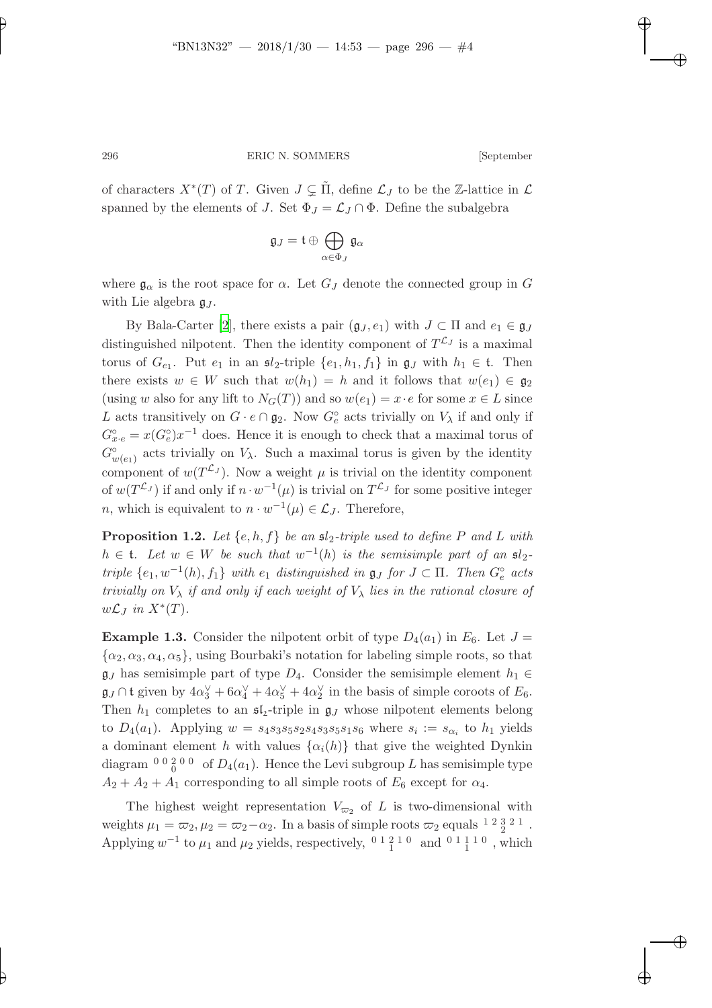of characters  $X^*(T)$  of T. Given  $J \subsetneq \tilde{\Pi}$ , define  $\mathcal{L}_J$  to be the Z-lattice in  $\mathcal{L}$ spanned by the elements of J. Set  $\Phi_J = \mathcal{L}_J \cap \Phi$ . Define the subalgebra

$$
\mathfrak{g}_J=\mathfrak{t}\oplus\bigoplus_{\alpha\in\Phi_J}\mathfrak{g}_\alpha
$$

where  $\mathfrak{g}_{\alpha}$  is the root space for  $\alpha$ . Let  $G_J$  denote the connected group in G with Lie algebra  $\mathfrak{g}_J$ .

By Bala-Carter [\[2\]](#page-21-0), there exists a pair  $(\mathfrak{g}_J, e_1)$  with  $J \subset \Pi$  and  $e_1 \in \mathfrak{g}_J$ distinguished nilpotent. Then the identity component of  $T^{\mathcal{L}_J}$  is a maximal torus of  $G_{e_1}$ . Put  $e_1$  in an  $\mathfrak{sl}_2$ -triple  $\{e_1, h_1, f_1\}$  in  $\mathfrak{g}_J$  with  $h_1 \in \mathfrak{t}$ . Then there exists  $w \in W$  such that  $w(h_1) = h$  and it follows that  $w(e_1) \in \mathfrak{g}_2$ (using w also for any lift to  $N_G(T)$ ) and so  $w(e_1) = x \cdot e$  for some  $x \in L$  since L acts transitively on  $G \cdot e \cap \mathfrak{g}_2$ . Now  $G^{\circ}_e$  acts trivially on  $V_{\lambda}$  if and only if  $G_{x \cdot e}^{\circ} = x(G_{e}^{\circ})x^{-1}$  does. Hence it is enough to check that a maximal torus of  $G_{w(e_1)}^{\circ}$  acts trivially on  $V_{\lambda}$ . Such a maximal torus is given by the identity component of  $w(T^{\mathcal{L}_J})$ . Now a weight  $\mu$  is trivial on the identity component of  $w(T^{\mathcal{L}_J})$  if and only if  $n \cdot w^{-1}(\mu)$  is trivial on  $T^{\mathcal{L}_J}$  for some positive integer *n*, which is equivalent to  $n \cdot w^{-1}(\mu) \in \mathcal{L}_J$ . Therefore,

<span id="page-3-0"></span>**Proposition 1.2.** Let  $\{e, h, f\}$  be an  $\mathfrak{sl}_2$ -triple used to define P and L with  $h \in \mathfrak{t}$ . Let  $w \in W$  be such that  $w^{-1}(h)$  is the semisimple part of an  $\mathfrak{sl}_2$ triple  $\{e_1, w^{-1}(h), f_1\}$  with  $e_1$  distinguished in  $\mathfrak{g}_J$  for  $J \subset \Pi$ . Then  $G_e^{\circ}$  acts trivially on  $V_{\lambda}$  if and only if each weight of  $V_{\lambda}$  lies in the rational closure of  $w\mathcal{L}_J$  in  $X^*(T)$ .

**Example 1.3.** Consider the nilpotent orbit of type  $D_4(a_1)$  in  $E_6$ . Let  $J =$  $\{\alpha_2, \alpha_3, \alpha_4, \alpha_5\}$ , using Bourbaki's notation for labeling simple roots, so that  $\mathfrak{g}_J$  has semisimple part of type  $D_4$ . Consider the semisimple element  $h_1 \in$  $\mathfrak{g}_J \cap \mathfrak{t}$  given by  $4\alpha_3^{\vee} + 6\alpha_4^{\vee} + 4\alpha_5^{\vee} + 4\alpha_2^{\vee}$  in the basis of simple coroots of  $E_6$ . Then  $h_1$  completes to an  $\mathfrak{sl}_2$ -triple in  $\mathfrak{g}_J$  whose nilpotent elements belong to  $D_4(a_1)$ . Applying  $w = s_4s_3s_5s_2s_4s_3s_5s_1s_6$  where  $s_i := s_{\alpha_i}$  to  $h_1$  yields a dominant element h with values  $\{\alpha_i(h)\}\$  that give the weighted Dynkin diagram  $\binom{0}{0}$   $\binom{0}{0}$  of  $D_4(a_1)$ . Hence the Levi subgroup L has semisimple type  $A_2 + A_2 + A_1$  corresponding to all simple roots of  $E_6$  except for  $\alpha_4$ .

The highest weight representation  $V_{\varpi_2}$  of L is two-dimensional with weights  $\mu_1 = \omega_2, \mu_2 = \omega_2 - \alpha_2$ . In a basis of simple roots  $\omega_2$  equals <sup>12321</sup>. Applying  $w^{-1}$  to  $\mu_1$  and  $\mu_2$  yields, respectively, <sup>0 1</sup> <sup>2</sup><sup>1</sup><sup>0</sup> and <sup>0 1</sup><sup>1</sup><sup>1</sup><sup>1</sup><sup>0</sup>, which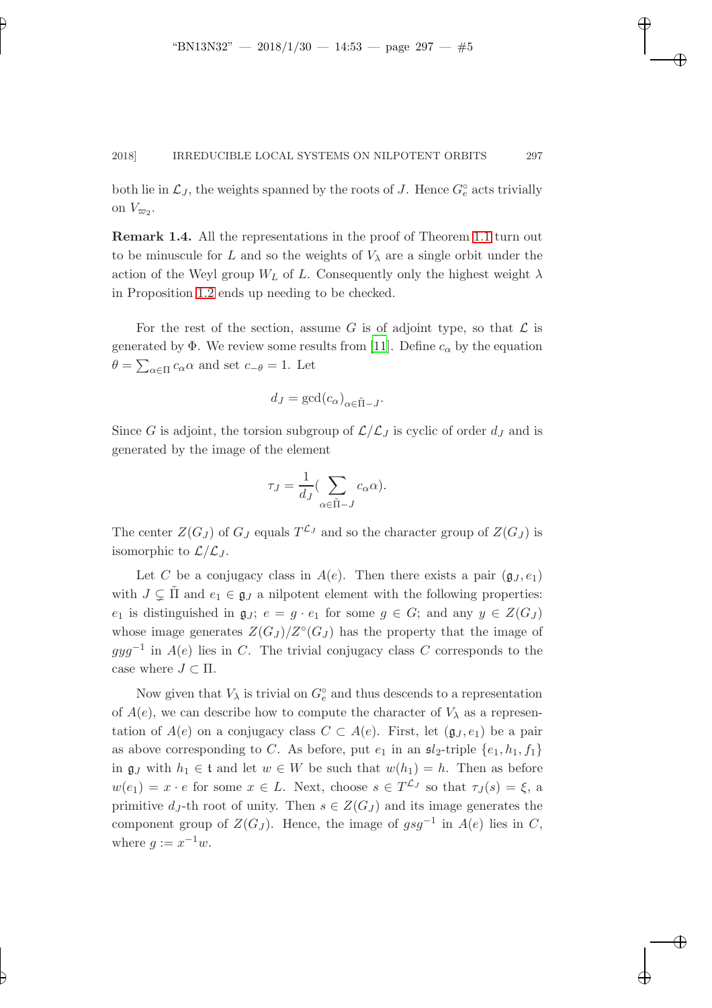both lie in  $\mathcal{L}_J$ , the weights spanned by the roots of J. Hence  $G_e^{\circ}$  acts trivially on  $V_{\varpi_2}$ .

Remark 1.4. All the representations in the proof of Theorem [1.1](#page-1-0) turn out to be minuscule for L and so the weights of  $V_{\lambda}$  are a single orbit under the action of the Weyl group  $W_L$  of L. Consequently only the highest weight  $\lambda$ in Proposition [1.2](#page-3-0) ends up needing to be checked.

For the rest of the section, assume G is of adjoint type, so that  $\mathcal L$  is generated by  $\Phi$ . We review some results from [\[11\]](#page-22-0). Define  $c_{\alpha}$  by the equation  $\theta = \sum_{\alpha \in \Pi} c_{\alpha} \alpha$  and set  $c_{-\theta} = 1$ . Let

$$
d_J = \gcd(c_\alpha)_{\alpha \in \tilde{\Pi} - J}.
$$

Since G is adjoint, the torsion subgroup of  $\mathcal{L}/\mathcal{L}_J$  is cyclic of order  $d_J$  and is generated by the image of the element

$$
\tau_J = \frac{1}{d_J} \Big( \sum_{\alpha \in \tilde{\Pi} - J} c_\alpha \alpha \Big).
$$

The center  $Z(G_J)$  of  $G_J$  equals  $T^{\mathcal{L}_J}$  and so the character group of  $Z(G_J)$  is isomorphic to  $\mathcal{L}/\mathcal{L}_J$ .

Let C be a conjugacy class in  $A(e)$ . Then there exists a pair  $(g_J, e_1)$ with  $J \subsetneq \Pi$  and  $e_1 \in \mathfrak{g}_J$  a nilpotent element with the following properties: e<sub>1</sub> is distinguished in  $\mathfrak{g}_J$ ;  $e = g \cdot e_1$  for some  $g \in G$ ; and any  $y \in Z(G_J)$ whose image generates  $Z(G_J)/Z^{\circ}(G_J)$  has the property that the image of  $gyg^{-1}$  in  $A(e)$  lies in C. The trivial conjugacy class C corresponds to the case where  $J \subset \Pi$ .

Now given that  $V_{\lambda}$  is trivial on  $G_e^{\circ}$  and thus descends to a representation of  $A(e)$ , we can describe how to compute the character of  $V_{\lambda}$  as a representation of  $A(e)$  on a conjugacy class  $C \subset A(e)$ . First, let  $(\mathfrak{g}_J, e_1)$  be a pair as above corresponding to C. As before, put  $e_1$  in an  $\mathfrak{sl}_2$ -triple  $\{e_1, h_1, f_1\}$ in  $\mathfrak{g}_J$  with  $h_1 \in \mathfrak{t}$  and let  $w \in W$  be such that  $w(h_1) = h$ . Then as before  $w(e_1) = x \cdot e$  for some  $x \in L$ . Next, choose  $s \in T^{\mathcal{L}_J}$  so that  $\tau_J(s) = \xi$ , a primitive  $d_J$ -th root of unity. Then  $s \in Z(G_J)$  and its image generates the component group of  $Z(G_J)$ . Hence, the image of  $gsg^{-1}$  in  $A(e)$  lies in C, where  $g := x^{-1}w$ .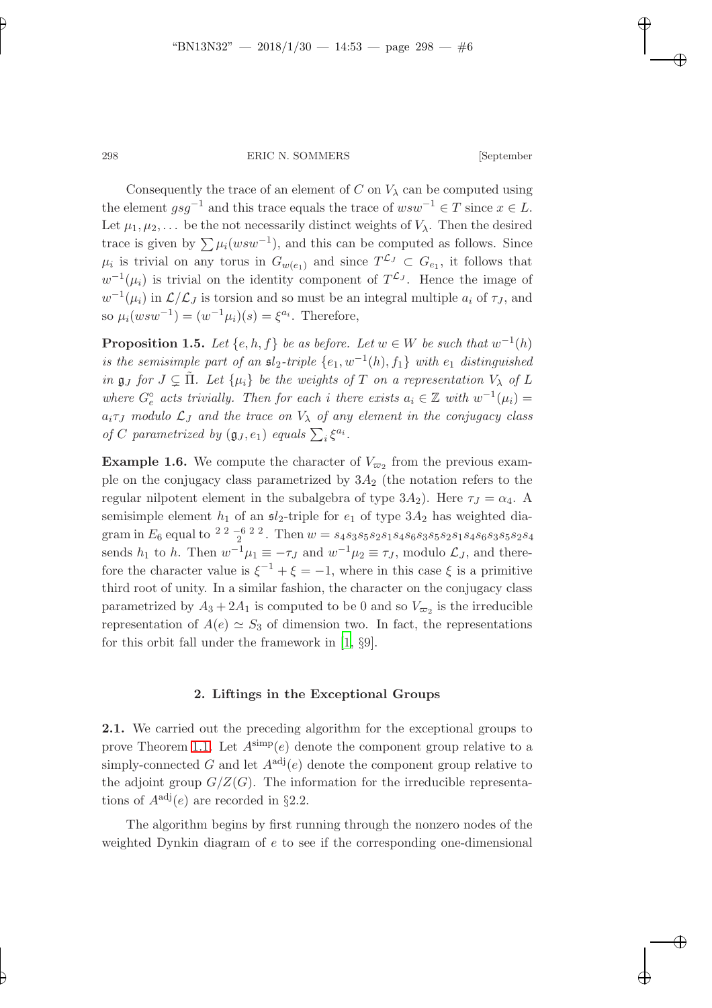Consequently the trace of an element of C on  $V_{\lambda}$  can be computed using the element  $gsg^{-1}$  and this trace equals the trace of  $wsw^{-1} \in T$  since  $x \in L$ . Let  $\mu_1, \mu_2, \ldots$  be the not necessarily distinct weights of  $V_\lambda$ . Then the desired trace is given by  $\sum \mu_i(wsw^{-1})$ , and this can be computed as follows. Since  $\mu_i$  is trivial on any torus in  $G_{w(e_1)}$  and since  $T^{\mathcal{L}_J} \subset G_{e_1}$ , it follows that  $w^{-1}(\mu_i)$  is trivial on the identity component of  $T^{\mathcal{L}_J}$ . Hence the image of  $w^{-1}(\mu_i)$  in  $\mathcal{L}/\mathcal{L}_J$  is torsion and so must be an integral multiple  $a_i$  of  $\tau_J$ , and so  $\mu_i(wsw^{-1}) = (w^{-1}\mu_i)(s) = \xi^{a_i}$ . Therefore,

**Proposition 1.5.** Let  $\{e, h, f\}$  be as before. Let  $w \in W$  be such that  $w^{-1}(h)$ is the semisimple part of an  $sl_2$ -triple  $\{e_1, w^{-1}(h), f_1\}$  with  $e_1$  distinguished in  $\mathfrak{g}_J$  for  $J \subsetneq \tilde{\Pi}$ . Let  $\{\mu_i\}$  be the weights of T on a representation  $V_{\lambda}$  of L where  $G_e^{\circ}$  acts trivially. Then for each i there exists  $a_i \in \mathbb{Z}$  with  $w^{-1}(\mu_i) =$  $a_i \tau_J$  modulo  $\mathcal{L}_J$  and the trace on  $V_{\lambda}$  of any element in the conjugacy class of C parametrized by  $(\mathfrak{g}_J, e_1)$  equals  $\sum_i \xi^{a_i}$ .

**Example 1.6.** We compute the character of  $V_{\varpi_2}$  from the previous example on the conjugacy class parametrized by  $3A_2$  (the notation refers to the regular nilpotent element in the subalgebra of type  $3A_2$ ). Here  $\tau_J = \alpha_4$ . A semisimple element  $h_1$  of an  $\mathfrak{sl}_2$ -triple for  $e_1$  of type  $3A_2$  has weighted diagram in  $E_6$  equal to  $\frac{22-622}{}$ . Then  $w = s_4s_3s_5s_2s_1s_4s_6s_3s_5s_2s_1s_4s_6s_3s_5s_2s_4$ sends  $h_1$  to h. Then  $w^{-1}\mu_1 \equiv -\tau_J$  and  $w^{-1}\mu_2 \equiv \tau_J$ , modulo  $\mathcal{L}_J$ , and therefore the character value is  $\xi^{-1} + \xi = -1$ , where in this case  $\xi$  is a primitive third root of unity. In a similar fashion, the character on the conjugacy class parametrized by  $A_3 + 2A_1$  is computed to be 0 and so  $V_{\varpi_2}$  is the irreducible representation of  $A(e) \simeq S_3$  of dimension two. In fact, the representations for this orbit fall under the framework in [\[1](#page-21-1), §9].

## 2. Liftings in the Exceptional Groups

2.1. We carried out the preceding algorithm for the exceptional groups to prove Theorem [1.1.](#page-1-0) Let  $A^{\text{simp}}(e)$  denote the component group relative to a simply-connected G and let  $A^{adj}(e)$  denote the component group relative to the adjoint group  $G/Z(G)$ . The information for the irreducible representations of  $A^{adj}(e)$  are recorded in §2.2.

The algorithm begins by first running through the nonzero nodes of the weighted Dynkin diagram of e to see if the corresponding one-dimensional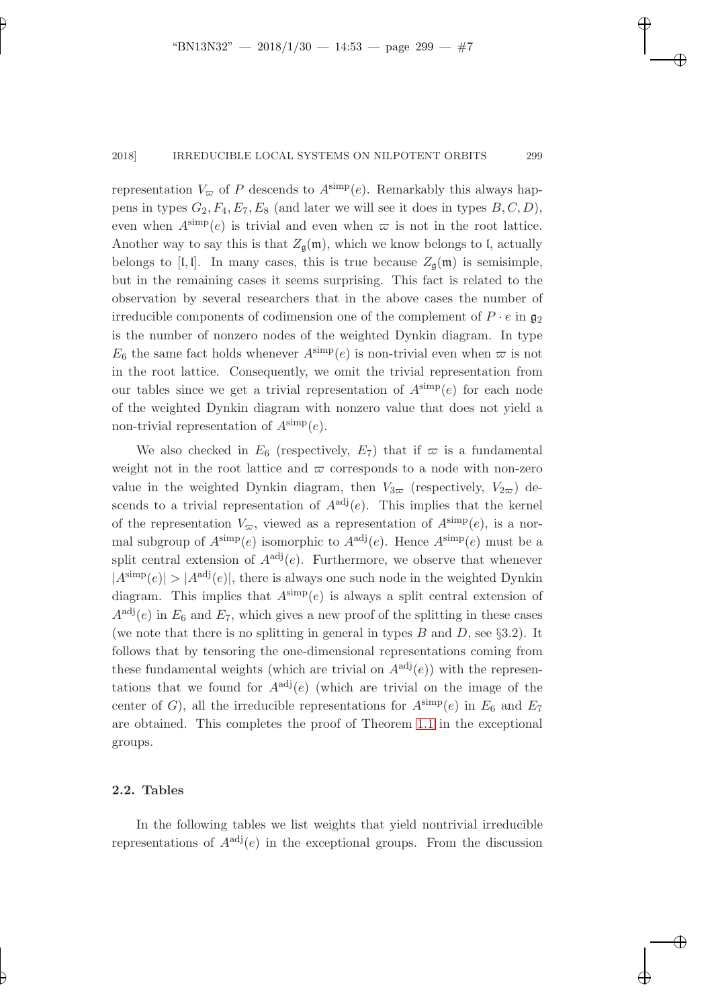representation  $V_{\varpi}$  of P descends to  $A^{\text{simp}}(e)$ . Remarkably this always happens in types  $G_2, F_4, E_7, E_8$  (and later we will see it does in types  $B, C, D$ ), even when  $A^{\text{simp}}(e)$  is trivial and even when  $\varpi$  is not in the root lattice. Another way to say this is that  $Z_{\mathfrak{a}}(\mathfrak{m})$ , which we know belongs to l, actually belongs to [I, I]. In many cases, this is true because  $Z_{\mathfrak{g}}(\mathfrak{m})$  is semisimple, but in the remaining cases it seems surprising. This fact is related to the observation by several researchers that in the above cases the number of irreducible components of codimension one of the complement of  $P \cdot e$  in  $\mathfrak{g}_2$ is the number of nonzero nodes of the weighted Dynkin diagram. In type  $E_6$  the same fact holds whenever  $A^{\text{simp}}(e)$  is non-trivial even when  $\varpi$  is not in the root lattice. Consequently, we omit the trivial representation from our tables since we get a trivial representation of  $A^{\text{simp}}(e)$  for each node of the weighted Dynkin diagram with nonzero value that does not yield a non-trivial representation of  $A^{\text{simp}}(e)$ .

We also checked in  $E_6$  (respectively,  $E_7$ ) that if  $\varpi$  is a fundamental weight not in the root lattice and  $\varpi$  corresponds to a node with non-zero value in the weighted Dynkin diagram, then  $V_{3\overline{\omega}}$  (respectively,  $V_{2\overline{\omega}}$ ) descends to a trivial representation of  $A^{adj}(e)$ . This implies that the kernel of the representation  $V_{\varpi}$ , viewed as a representation of  $A^{\text{simp}}(e)$ , is a normal subgroup of  $A^{\text{simp}}(e)$  isomorphic to  $A^{\text{adj}}(e)$ . Hence  $A^{\text{simp}}(e)$  must be a split central extension of  $A^{adj}(e)$ . Furthermore, we observe that whenever  $|A^{\text{simp}}(e)| > |A^{\text{adj}}(e)|$ , there is always one such node in the weighted Dynkin diagram. This implies that  $A^{\text{simp}}(e)$  is always a split central extension of  $A^{adj}(e)$  in  $E_6$  and  $E_7$ , which gives a new proof of the splitting in these cases (we note that there is no splitting in general in types  $B$  and  $D$ , see §3.2). It follows that by tensoring the one-dimensional representations coming from these fundamental weights (which are trivial on  $A^{adj}(e)$ ) with the representations that we found for  $A^{adj}(e)$  (which are trivial on the image of the center of G), all the irreducible representations for  $A^{\text{simp}}(e)$  in  $E_6$  and  $E_7$ are obtained. This completes the proof of Theorem [1.1](#page-1-0) in the exceptional groups.

## 2.2. Tables

In the following tables we list weights that yield nontrivial irreducible representations of  $A^{adj}(e)$  in the exceptional groups. From the discussion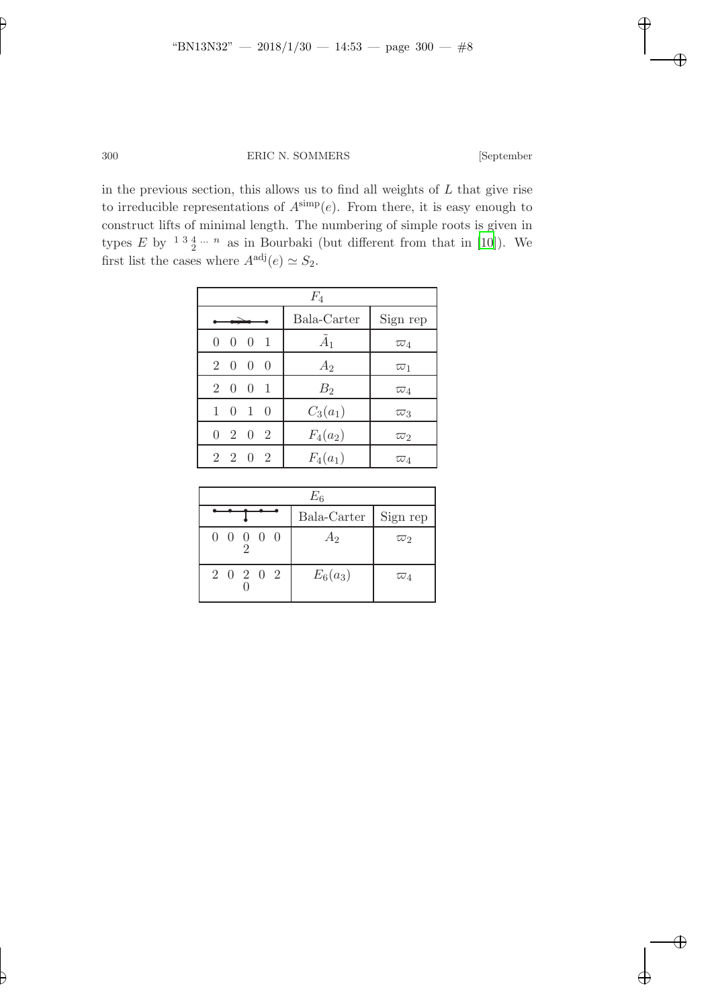in the previous section, this allows us to find all weights of  $L$  that give rise to irreducible representations of  $A^{\text{simp}}(e)$ . From there, it is easy enough to construct lifts of minimal length. The numbering of simple roots is given in types E by  $13\frac{4}{2}...n$  as in Bourbaki (but different from that in [\[10](#page-22-1)]). We first list the cases where  $A^{adj}(e) \simeq S_2$ .

| $F_4$                    |                |                       |  |  |  |  |  |
|--------------------------|----------------|-----------------------|--|--|--|--|--|
|                          | Bala-Carter    | Sign rep              |  |  |  |  |  |
| $0 \t0 \t0 \t1$          | $\tilde{A}_1$  | $\overline{\omega}_4$ |  |  |  |  |  |
| $2\quad 0\quad 0\quad 0$ | $A_2$          | $\varpi_1$            |  |  |  |  |  |
| $2\ 0\ 0\ 1$             | B <sub>2</sub> | $\varpi_4$            |  |  |  |  |  |
| $1 \t0 \t1 \t0$          | $C_3(a_1)$     | $\varpi_3$            |  |  |  |  |  |
| $0 \t2 \t0 \t2$          | $F_4(a_2)$     | $\varpi_2$            |  |  |  |  |  |
| $2\ 2\ 0\ 2$             | $F_4(a_1)$     | $\varpi_4$            |  |  |  |  |  |

| $E_6$           |                        |            |  |  |  |  |
|-----------------|------------------------|------------|--|--|--|--|
|                 | Bala-Carter   Sign rep |            |  |  |  |  |
| $0\ 0\ 0\ 0\ 0$ | A <sub>2</sub>         | $\varpi_2$ |  |  |  |  |
| 2 0 2 0 2       | $E_6(a_3)$             | $\varpi_4$ |  |  |  |  |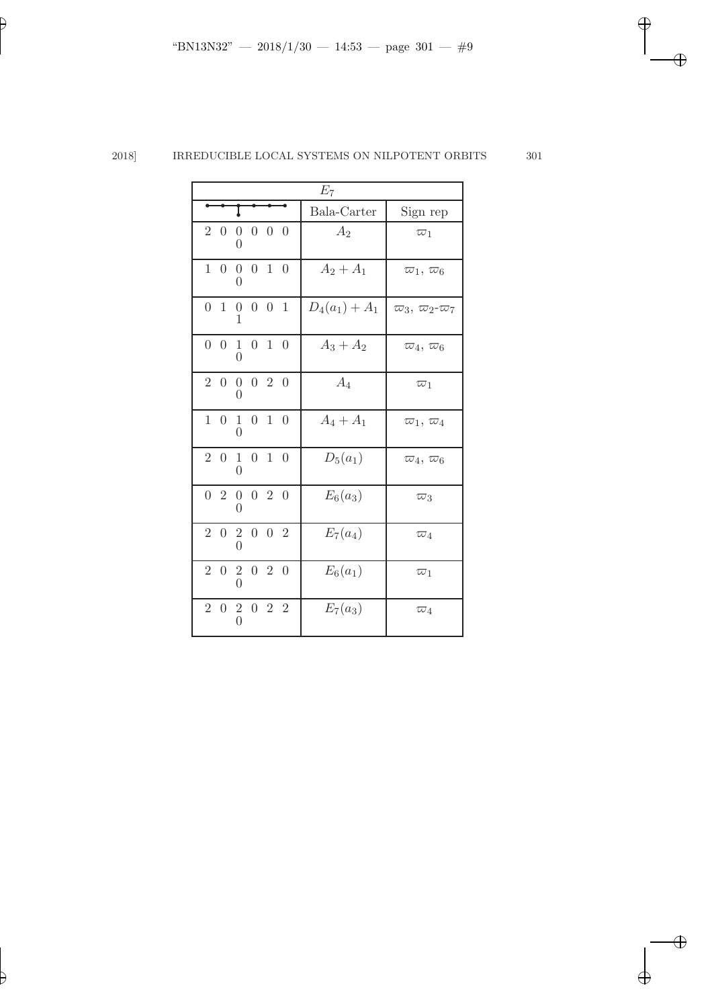| $E_7$                                                                                     |                  |                               |  |  |  |  |  |
|-------------------------------------------------------------------------------------------|------------------|-------------------------------|--|--|--|--|--|
|                                                                                           | Bala-Carter      | Sign rep                      |  |  |  |  |  |
| $0\quad 0\quad 0$<br>$2\quad0$<br>$\boldsymbol{0}$<br>$\Omega$                            | $A_2$            | $\varpi_1$                    |  |  |  |  |  |
| $0\quad1\quad0$<br>1 0<br>$\overline{0}$<br>0                                             | $A_2 + A_1$      | $\varpi_1, \varpi_6$          |  |  |  |  |  |
| $\overline{0}$<br>0 <sub>1</sub><br>$\overline{0}$<br>$\overline{0}$<br>$\mathbf{1}$<br>1 | $D_4(a_1) + A_1$ | $\varpi_3, \varpi_2 \varpi_7$ |  |  |  |  |  |
| $0 \t0 \t1 \t0$<br>$1\quad0$<br>0                                                         | $A_3 + A_2$      | $\varpi_4, \varpi_6$          |  |  |  |  |  |
| $2\ 0\ 0\ 0\ 2\ 0$<br>0                                                                   | $A_4$            | $\varpi_1$                    |  |  |  |  |  |
| 1<br>$\overline{0}$<br>$1\quad0$<br>$\overline{0}$<br>$\mathbf{1}$<br>0                   | $A_4 + A_1$      | $\varpi_1, \varpi_4$          |  |  |  |  |  |
| $2\quad0$<br>$\overline{0}$<br>$\mathbf{1}$<br>$\mathbf{1}$<br>$\overline{0}$<br>0        | $D_5(a_1)$       | $\varpi_4, \varpi_6$          |  |  |  |  |  |
| $0 \t0 \t2 \t0$<br>$0\quad 2$<br>0                                                        | $E_6(a_3)$       | $\overline{\omega}_3$         |  |  |  |  |  |
| $2\ 0\ 2\ 0\ 0\ 2$                                                                        | $E_7(a_4)$       | $\varpi_4$                    |  |  |  |  |  |
| $2\ 0\ 2\ 0\ 2\ 0$                                                                        | $E_6(a_1)$       | $\varpi_1$                    |  |  |  |  |  |
| $2\ 0\ 2\ 0\ 2\ 2$                                                                        | $E_7(a_3)$       | $\varpi_4$                    |  |  |  |  |  |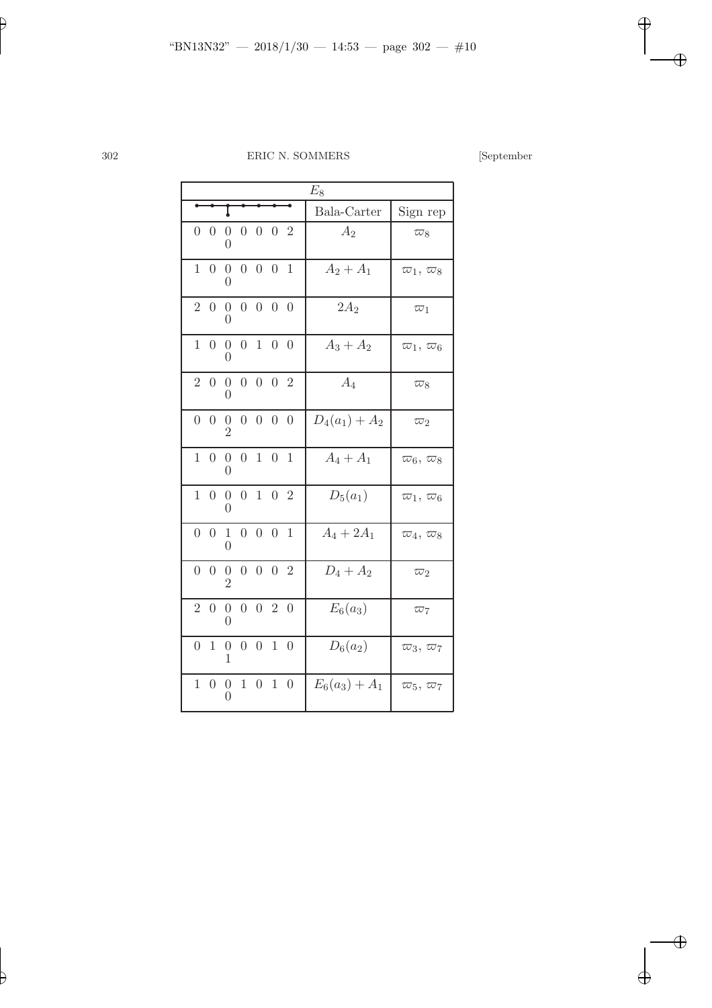|                | $E_8$            |                                    |                |                  |                  |                  |                  |                                            |  |
|----------------|------------------|------------------------------------|----------------|------------------|------------------|------------------|------------------|--------------------------------------------|--|
| I              |                  |                                    |                |                  |                  |                  | Bala-Carter      | Sign rep                                   |  |
| $\overline{0}$ | $\overline{0}$   | $\overline{0}$<br>0                | $\overline{0}$ | $\overline{0}$   | $\overline{0}$   | $\overline{2}$   | $A_2$            | $\overline{\omega}_8$                      |  |
| $\mathbf{1}$   | $\overline{0}$   | $\overline{0}$<br>0                | $\overline{0}$ | $\overline{0}$   | $\overline{0}$   | $\mathbf{1}$     | $A_2 + A_1$      | $\overline{\omega}_1, \overline{\omega}_8$ |  |
| $\overline{2}$ | $\boldsymbol{0}$ | $\overline{0}$<br>0                | $\overline{0}$ |                  | $0\quad 0$       | $\theta$         | $2A_2$           | $\varpi_1$                                 |  |
| $\overline{1}$ | $\overline{0}$   | $\overline{0}$<br>$\overline{0}$   | $\overline{0}$ |                  | $1\quad0$        | $\overline{0}$   | $A_3 + A_2$      | $\varpi_1,\,\varpi_6$                      |  |
| $\overline{2}$ | $\boldsymbol{0}$ | $\boldsymbol{0}$<br>$\Omega$       | $\overline{0}$ |                  | $0 \t 0 \t 2$    |                  | $A_4$            | $\varpi_8$                                 |  |
| $\overline{0}$ | $\overline{0}$   | $\overline{0}$<br>$\overline{2}$   | $\overline{0}$ | $\overline{0}$   | $\boldsymbol{0}$ | $\overline{0}$   | $D_4(a_1) + A_2$ | $\overline{\omega}_2$                      |  |
| $\mathbf{1}$   | $\overline{0}$   | $\boldsymbol{0}$<br>$\Omega$       | $\overline{0}$ |                  | $1\quad0$        | $\mathbf{1}$     | $A_4 + A_1$      | $\overline{\omega}_6, \overline{\omega}_8$ |  |
| $\mathbf{1}$   | $\overline{0}$   | $\overline{0}$<br>$\theta$         | $\overline{0}$ | $\mathbf{1}$     |                  | 0 <sub>2</sub>   | $D_5(a_1)$       | $\overline{\omega}_1, \overline{\omega}_6$ |  |
| $\overline{0}$ | $\theta$         | $\mathbf{1}$<br>0                  | $\overline{0}$ | $\overline{0}$   | $\overline{0}$   | $\mathbf{1}$     | $A_4 + 2A_1$     | $\overline{\omega}_4, \overline{\omega}_8$ |  |
| $\overline{0}$ | $\overline{0}$   | $\overline{0}$<br>$\overline{2}$   | $\overline{0}$ | $\overline{0}$   | $\overline{0}$   | $\overline{2}$   | $D_4 + A_2$      | $\overline{\omega}_2$                      |  |
| $\overline{2}$ | $\boldsymbol{0}$ | $\boldsymbol{0}$<br>$\overline{0}$ | $\overline{0}$ |                  | 0 <sub>2</sub>   | $\overline{0}$   | $E_6(a_3)$       | $\overline{\omega}_7$                      |  |
| $\overline{0}$ | $\mathbf 1$      | $\boldsymbol{0}$<br>1              | $\overline{0}$ | $\overline{0}$   | $\mathbf{1}$     | $\overline{0}$   | $D_6(a_2)$       | $\varpi_3, \varpi_7$                       |  |
| $\mathbf 1$    | $\theta$         | $\boldsymbol{0}$<br>$\overline{0}$ | $\mathbf{1}$   | $\boldsymbol{0}$ | $\mathbf 1$      | $\boldsymbol{0}$ | $E_6(a_3) + A_1$ | $\varpi_5, \varpi_7$                       |  |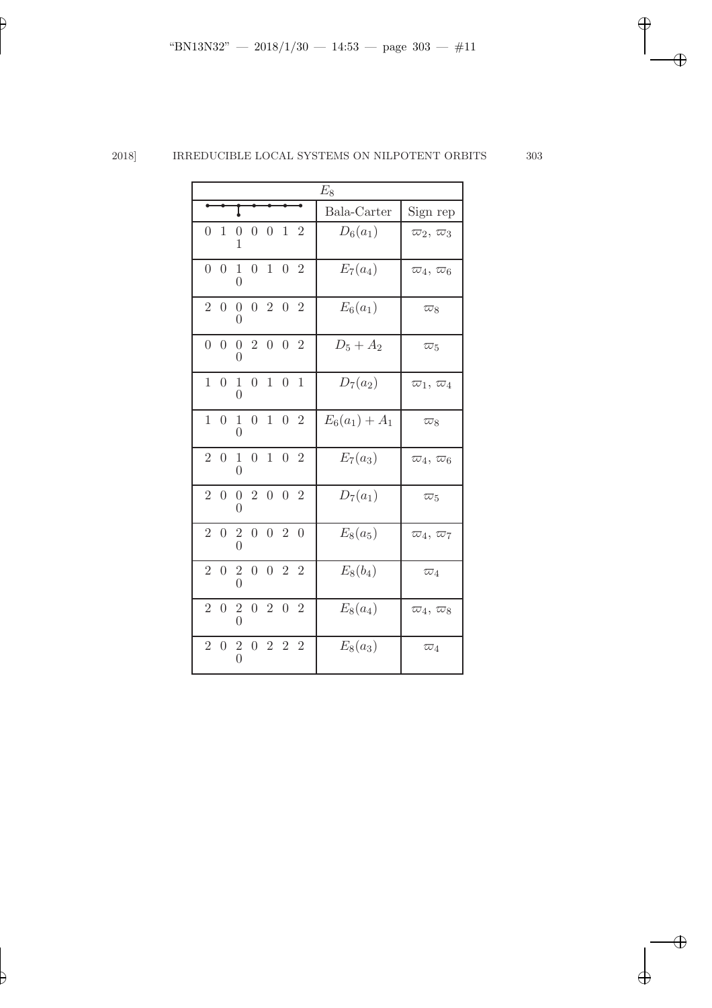| $E_8$          |                |                                   |                |                    |                   |                |                  |                                            |
|----------------|----------------|-----------------------------------|----------------|--------------------|-------------------|----------------|------------------|--------------------------------------------|
|                |                |                                   |                |                    |                   |                | Bala-Carter      | Sign rep                                   |
| $\Omega$       | $\mathbf{1}$   | $\boldsymbol{0}$<br>1             |                | $0 \t 0 \t 1 \t 2$ |                   |                | $D_6(a_1)$       | $\overline{\omega}_2, \overline{\omega}_3$ |
| $\overline{0}$ | $\overline{0}$ | $\mathbf 1$<br>0                  | $\overline{0}$ |                    | $1\quad 0\quad 2$ |                | $E_7(a_4)$       | $\overline{\omega}_4, \overline{\omega}_6$ |
| $\overline{2}$ | $\overline{0}$ | $\overline{0}$<br>0               |                | $0 \t2 \t0 \t2$    |                   |                | $E_6(a_1)$       | $\varpi_8$                                 |
|                | $0\quad 0$     | $\mathbf{0}$                      | $0\quad 2$     |                    | $0\quad 0$        | $\overline{2}$ | $D_5 + A_2$      | $\varpi_5$                                 |
| $\mathbf{1}$   | $\overline{0}$ | $\mathbf{1}$<br>$\Omega$          | $\overline{0}$ |                    | $1\quad0$         | $\mathbf{1}$   | $D_7(a_2)$       | $\varpi_1, \varpi_4$                       |
| $\mathbf{1}$   | $\Omega$       | $\mathbf{1}$<br>$\theta$          | $\overline{0}$ | $\mathbf{1}$       | $\overline{0}$    | $\overline{2}$ | $E_6(a_1) + A_1$ | $\varpi_8$                                 |
| $\overline{2}$ | $\overline{0}$ | $\mathbf{1}$<br>0                 | $\overline{0}$ |                    | $1\quad 0\quad 2$ |                | $E_7(a_3)$       | $\varpi_4, \varpi_6$                       |
|                |                | 2 0 0 2 0 0 2<br>$\left( \right)$ |                |                    |                   |                | $D_7(a_1)$       | $\overline{\omega}_5$                      |
| $\overline{2}$ | $\overline{0}$ |                                   |                | $2\ 0\ 0\ 2\ 0$    |                   |                | $E_8(a_5)$       | $\varpi_4, \varpi_7$                       |
| $\overline{2}$ | $\overline{0}$ | $\overline{2}$                    | $\overline{0}$ |                    | $0\quad 2\quad 2$ |                | $E_8(b_4)$       | $\varpi_4$                                 |
| $\overline{2}$ | $\overline{0}$ | $\frac{2}{0}$                     |                | $0\  \  2$         | $\boldsymbol{0}$  | $\overline{2}$ | $E_8(a_4)$       | $\varpi_4, \varpi_8$                       |
| $\overline{2}$ | $\overline{0}$ | $\overline{2}$                    |                | 0 2 2 2            |                   |                | $E_8(a_3)$       | $\varpi_4$                                 |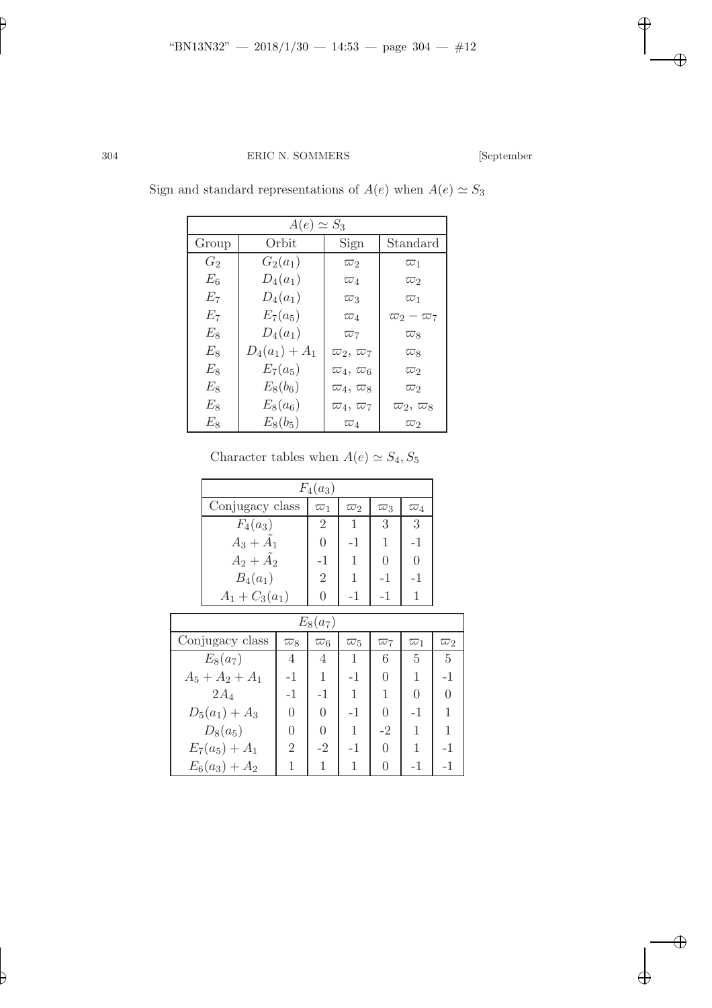| $A(e) \simeq S_3$ |                  |                       |                       |  |  |  |  |  |  |
|-------------------|------------------|-----------------------|-----------------------|--|--|--|--|--|--|
| Group             | Orbit            | Sign                  | Standard              |  |  |  |  |  |  |
| $G_2$             | $G_2(a_1)$       | $\overline{\omega}_2$ | $\varpi_1$            |  |  |  |  |  |  |
| $E_6$             | $D_4(a_1)$       | $\varpi_4$            | $\varpi_2$            |  |  |  |  |  |  |
| $E_7\,$           | $D_4(a_1)$       | $\varpi_3$            | $\varpi_1$            |  |  |  |  |  |  |
| $E_7\,$           | $E_7(a_5)$       | $\varpi_4$            | $\varpi_2-\varpi_7$   |  |  |  |  |  |  |
| $E_8$             | $D_4(a_1)$       | $\overline{\omega}_7$ | $\varpi_8$            |  |  |  |  |  |  |
| $E_8$             | $D_4(a_1) + A_1$ | $\varpi_2, \varpi_7$  | $\varpi_8$            |  |  |  |  |  |  |
| $E_{8}$           | $E_7(a_5)$       | $\varpi_4, \varpi_6$  | $\varpi_2$            |  |  |  |  |  |  |
| $E_{8}$           | $E_8(b_6)$       | $\varpi_4, \varpi_8$  | $\varpi_2$            |  |  |  |  |  |  |
| $E_{8}$           | $E_8(a_6)$       | $\varpi_4, \varpi_7$  | $\varpi_2,\,\varpi_8$ |  |  |  |  |  |  |
| $E_8\,$           | $E_8(b_5)$       | $\varpi_4$            | $\varpi_2$            |  |  |  |  |  |  |

Sign and standard representations of  $A(e)$  when  $A(e) \simeq S_3$ 

| Character tables when $A(e) \simeq S_4, S_5$ |  |  |  |  |  |  |
|----------------------------------------------|--|--|--|--|--|--|
|----------------------------------------------|--|--|--|--|--|--|

|            | $F_4(a_3)$        |                |                |                       |                       |                       |            |  |  |  |
|------------|-------------------|----------------|----------------|-----------------------|-----------------------|-----------------------|------------|--|--|--|
|            | Conjugacy class   |                | $\varpi_1$     | $\overline{\omega}_2$ | $\overline{\omega}_3$ | $\overline{\omega}_4$ |            |  |  |  |
|            | $F_4(a_3)$        |                | $\overline{2}$ | $\mathbf{1}$          | 3                     | 3                     |            |  |  |  |
|            | $A_3 + A_1$       |                | $\overline{0}$ | -1                    | 1                     | -1                    |            |  |  |  |
|            | $A_2+\tilde{A}_2$ |                | $-1$           | 1                     | $\theta$              | $\theta$              |            |  |  |  |
|            | $B_4(a_1)$        |                | $\overline{2}$ | 1                     | $-1$                  | -1                    |            |  |  |  |
|            | $A_1 + C_3(a_1)$  | $\overline{0}$ | $-1$           | $-1$                  | 1                     |                       |            |  |  |  |
| $E_8(a_7)$ |                   |                |                |                       |                       |                       |            |  |  |  |
|            | Conjugacy class   | $\varpi_8$     | $\varpi_6$     | $\varpi_5$            | $\overline{\omega}_7$ | $\varpi_1$            | $\varpi_2$ |  |  |  |
|            | $E_8(a_7)$        | 4              | 4              | 1                     | 6                     | 5                     | 5          |  |  |  |
|            | $A_5 + A_2 + A_1$ | $-1$           | 1              | $-1$                  | $\theta$              | 1                     | $-1$       |  |  |  |
|            | $2A_4$            | $-1$           | -1             | 1                     | 1                     | $\Omega$              | $\Omega$   |  |  |  |
|            | $D_5(a_1) + A_3$  | $\overline{0}$ | $-1$           | $\theta$              | -1                    | 1                     |            |  |  |  |
|            | $D_8(a_5)$        | $\theta$       | $\theta$       | 1                     | $-2$                  | 1                     | 1          |  |  |  |
|            | $E_7(a_5) + A_1$  | $\overline{2}$ | $-2$           | $-1$                  | $\theta$              | 1                     | -1         |  |  |  |
|            | $E_6(a_3) + A_2$  | 1              | 1              | 1                     | 0                     | -1                    | -1         |  |  |  |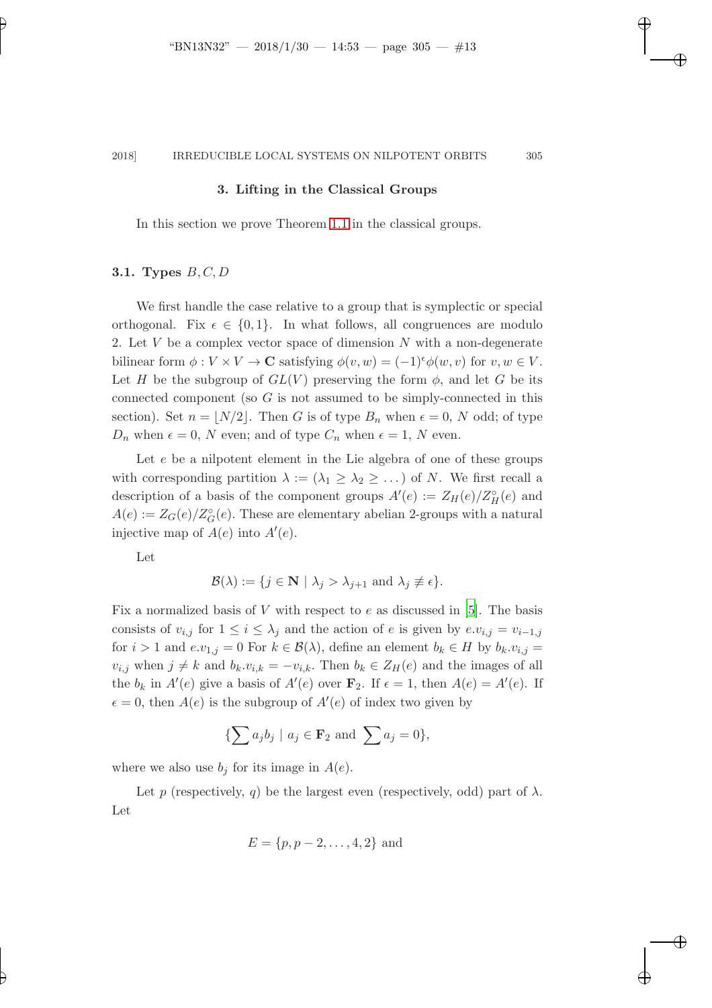#### 3. Lifting in the Classical Groups

In this section we prove Theorem [1.1](#page-1-0) in the classical groups.

## 3.1. Types  $B, C, D$

We first handle the case relative to a group that is symplectic or special orthogonal. Fix  $\epsilon \in \{0, 1\}$ . In what follows, all congruences are modulo 2. Let  $V$  be a complex vector space of dimension  $N$  with a non-degenerate bilinear form  $\phi: V \times V \to \mathbf{C}$  satisfying  $\phi(v, w) = (-1)^{\epsilon} \phi(w, v)$  for  $v, w \in V$ . Let H be the subgroup of  $GL(V)$  preserving the form  $\phi$ , and let G be its connected component (so  $G$  is not assumed to be simply-connected in this section). Set  $n = \lfloor N/2 \rfloor$ . Then G is of type  $B_n$  when  $\epsilon = 0$ , N odd; of type  $D_n$  when  $\epsilon = 0$ , N even; and of type  $C_n$  when  $\epsilon = 1$ , N even.

Let  $e$  be a nilpotent element in the Lie algebra of one of these groups with corresponding partition  $\lambda := (\lambda_1 \geq \lambda_2 \geq \ldots)$  of N. We first recall a description of a basis of the component groups  $A'(e) := Z_H(e)/Z_H^{\circ}(e)$  and  $A(e) := Z_G(e)/Z_G^{\circ}(e)$ . These are elementary abelian 2-groups with a natural injective map of  $A(e)$  into  $A'(e)$ .

Let

$$
\mathcal{B}(\lambda) := \{ j \in \mathbf{N} \mid \lambda_j > \lambda_{j+1} \text{ and } \lambda_j \not\equiv \epsilon \}.
$$

Fix a normalized basis of V with respect to  $e$  as discussed in [\[5](#page-21-2)]. The basis consists of  $v_{i,j}$  for  $1 \leq i \leq \lambda_j$  and the action of e is given by  $e.v_{i,j} = v_{i-1,j}$ for  $i > 1$  and  $e.v_{1,j} = 0$  For  $k \in \mathcal{B}(\lambda)$ , define an element  $b_k \in H$  by  $b_k.v_{i,j} =$  $v_{i,j}$  when  $j \neq k$  and  $b_k \tcdot v_{i,k} = -v_{i,k}$ . Then  $b_k \in Z_H(e)$  and the images of all the  $b_k$  in  $A'(e)$  give a basis of  $A'(e)$  over  $\mathbf{F}_2$ . If  $\epsilon = 1$ , then  $A(e) = A'(e)$ . If  $\epsilon = 0$ , then  $A(e)$  is the subgroup of  $A'(e)$  of index two given by

$$
\{\sum a_j b_j \mid a_j \in \mathbf{F}_2 \text{ and } \sum a_j = 0\},\
$$

where we also use  $b_j$  for its image in  $A(e)$ .

Let p (respectively, q) be the largest even (respectively, odd) part of  $\lambda$ . Let

$$
E = \{p, p-2, \ldots, 4, 2\}
$$
 and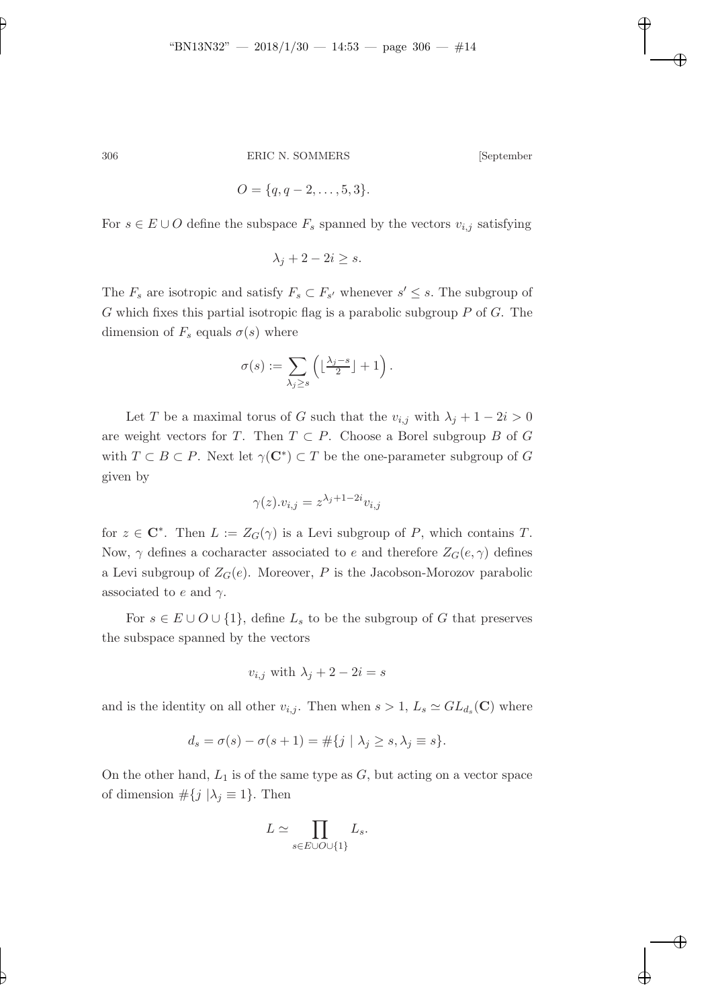$$
O = \{q, q-2, \ldots, 5, 3\}.
$$

For  $s \in E \cup O$  define the subspace  $F_s$  spanned by the vectors  $v_{i,j}$  satisfying

$$
\lambda_j+2-2i\geq s.
$$

The  $F_s$  are isotropic and satisfy  $F_s \subset F_{s'}$  whenever  $s' \leq s$ . The subgroup of  $G$  which fixes this partial isotropic flag is a parabolic subgroup  $P$  of  $G$ . The dimension of  $F_s$  equals  $\sigma(s)$  where

$$
\sigma(s) := \sum_{\lambda_j \ge s} \left( \lfloor \frac{\lambda_j - s}{2} \rfloor + 1 \right).
$$

Let T be a maximal torus of G such that the  $v_{i,j}$  with  $\lambda_j + 1 - 2i > 0$ are weight vectors for T. Then  $T \subset P$ . Choose a Borel subgroup B of G with  $T \subset B \subset P$ . Next let  $\gamma(\mathbf{C}^*) \subset T$  be the one-parameter subgroup of G given by

$$
\gamma(z).v_{i,j} = z^{\lambda_j + 1 - 2i} v_{i,j}
$$

for  $z \in \mathbb{C}^*$ . Then  $L := Z_G(\gamma)$  is a Levi subgroup of P, which contains T. Now,  $\gamma$  defines a cocharacter associated to e and therefore  $Z_G(e, \gamma)$  defines a Levi subgroup of  $Z_G(e)$ . Moreover, P is the Jacobson-Morozov parabolic associated to e and  $\gamma$ .

For  $s \in E \cup O \cup \{1\}$ , define  $L_s$  to be the subgroup of G that preserves the subspace spanned by the vectors

$$
v_{i,j}
$$
 with  $\lambda_j + 2 - 2i = s$ 

and is the identity on all other  $v_{i,j}$ . Then when  $s > 1$ ,  $L_s \simeq GL_{d_s}(\mathbf{C})$  where

$$
d_s = \sigma(s) - \sigma(s+1) = \#\{j \mid \lambda_j \ge s, \lambda_j \equiv s\}.
$$

On the other hand,  $L_1$  is of the same type as  $G$ , but acting on a vector space of dimension  $\#\{j \mid \lambda_j \equiv 1\}$ . Then

$$
L \simeq \prod_{s \in E \cup O \cup \{1\}} L_s.
$$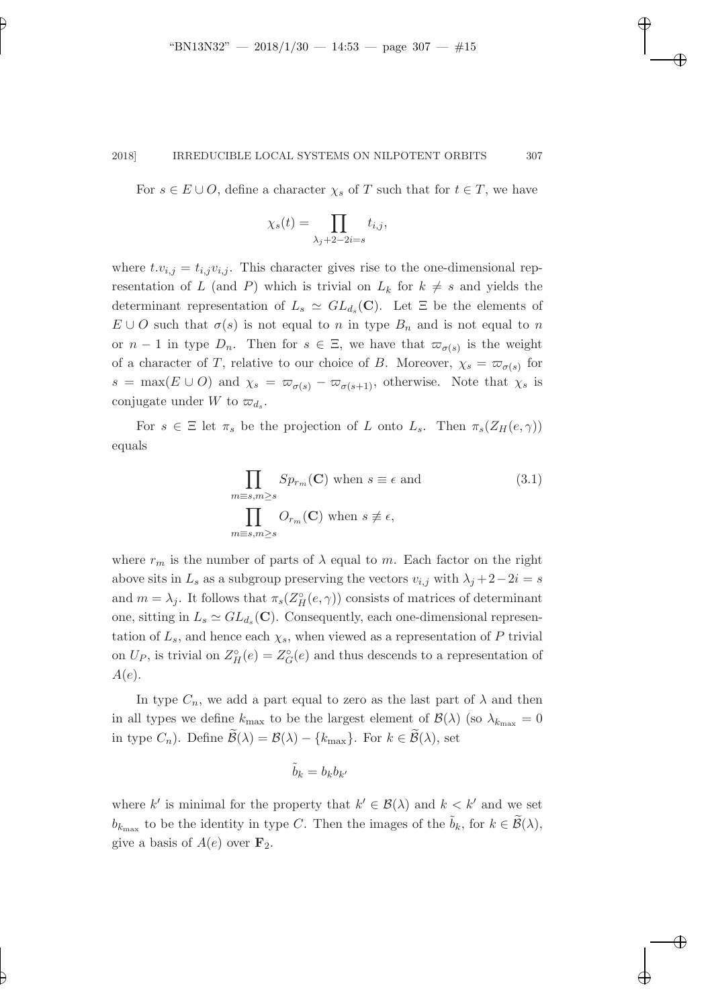For  $s \in E \cup O$ , define a character  $\chi_s$  of T such that for  $t \in T$ , we have

$$
\chi_s(t) = \prod_{\lambda_j + 2 - 2i = s} t_{i,j},
$$

where  $t.v_{i,j} = t_{i,j}v_{i,j}$ . This character gives rise to the one-dimensional representation of L (and P) which is trivial on  $L_k$  for  $k \neq s$  and yields the determinant representation of  $L_s \simeq GL_{d_s}(\mathbf{C})$ . Let  $\Xi$  be the elements of  $E \cup O$  such that  $\sigma(s)$  is not equal to n in type  $B_n$  and is not equal to n or  $n-1$  in type  $D_n$ . Then for  $s \in \Xi$ , we have that  $\varpi_{\sigma(s)}$  is the weight of a character of T, relative to our choice of B. Moreover,  $\chi_s = \varpi_{\sigma(s)}$  for  $s = \max(E \cup O)$  and  $\chi_s = \varpi_{\sigma(s)} - \varpi_{\sigma(s+1)}$ , otherwise. Note that  $\chi_s$  is conjugate under W to  $\varpi_{d_s}$ .

For  $s \in \Xi$  let  $\pi_s$  be the projection of L onto  $L_s$ . Then  $\pi_s(Z_H(e, \gamma))$ equals

<span id="page-14-0"></span>
$$
\prod_{m \equiv s, m \ge s} Sp_{r_m}(\mathbf{C}) \text{ when } s \equiv \epsilon \text{ and } \n\prod_{m \equiv s, m \ge s} O_{r_m}(\mathbf{C}) \text{ when } s \not\equiv \epsilon,
$$
\n(3.1)

where  $r_m$  is the number of parts of  $\lambda$  equal to m. Each factor on the right above sits in  $L_s$  as a subgroup preserving the vectors  $v_{i,j}$  with  $\lambda_j + 2 - 2i = s$ and  $m = \lambda_j$ . It follows that  $\pi_s(Z_H^{\circ}(e, \gamma))$  consists of matrices of determinant one, sitting in  $L_s \simeq GL_{d_s}(\mathbf{C})$ . Consequently, each one-dimensional representation of  $L_s$ , and hence each  $\chi_s$ , when viewed as a representation of P trivial on  $U_P$ , is trivial on  $Z_H^{\circ}(e) = Z_G^{\circ}(e)$  and thus descends to a representation of  $A(e).$ 

In type  $C_n$ , we add a part equal to zero as the last part of  $\lambda$  and then in all types we define  $k_{\text{max}}$  to be the largest element of  $\mathcal{B}(\lambda)$  (so  $\lambda_{k_{\text{max}}} = 0$ in type  $C_n$ ). Define  $\widetilde{\mathcal{B}}(\lambda) = \mathcal{B}(\lambda) - \{k_{\text{max}}\}$ . For  $k \in \widetilde{\mathcal{B}}(\lambda)$ , set

$$
\tilde{b}_k = b_k b_{k'}
$$

where k' is minimal for the property that  $k' \in \mathcal{B}(\lambda)$  and  $k < k'$  and we set  $b_{k_{\text{max}}}$  to be the identity in type C. Then the images of the  $\tilde{b}_k$ , for  $k \in \tilde{\mathcal{B}}(\lambda)$ , give a basis of  $A(e)$  over  $\mathbf{F}_2$ .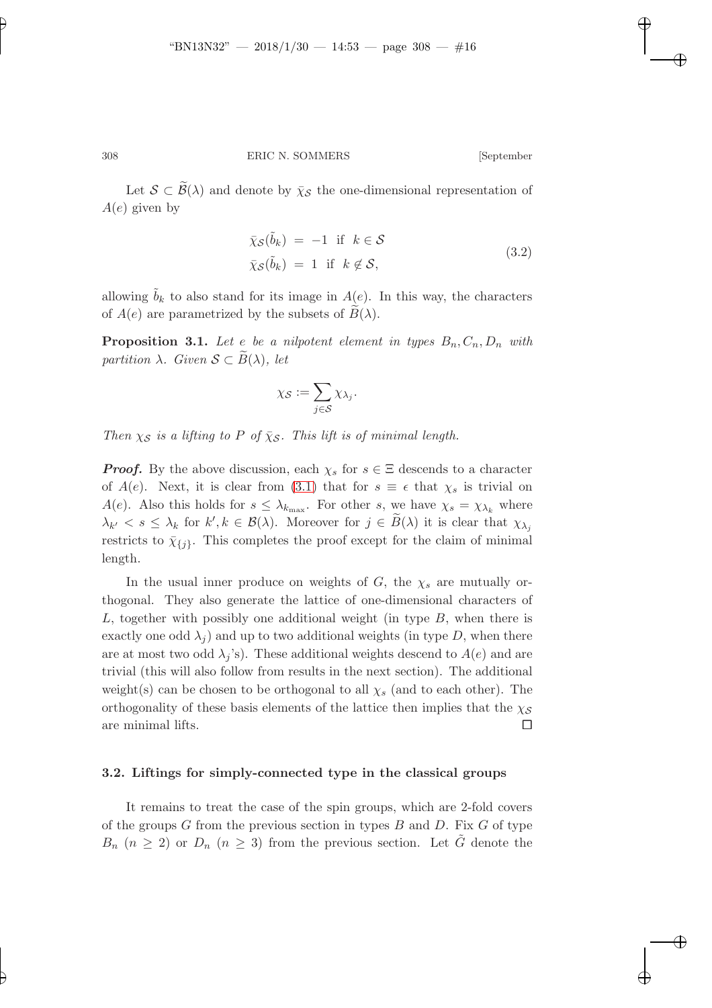Let  $S \subset \widetilde{\mathcal{B}}(\lambda)$  and denote by  $\bar{\chi}_{\mathcal{S}}$  the one-dimensional representation of  $A(e)$  given by

$$
\bar{\chi}_{\mathcal{S}}(\tilde{b}_k) = -1 \text{ if } k \in \mathcal{S}
$$
  

$$
\bar{\chi}_{\mathcal{S}}(\tilde{b}_k) = 1 \text{ if } k \notin \mathcal{S},
$$
 (3.2)

<span id="page-15-0"></span>allowing  $b_k$  to also stand for its image in  $A(e)$ . In this way, the characters of  $A(e)$  are parametrized by the subsets of  $B(\lambda)$ .

**Proposition 3.1.** Let e be a nilpotent element in types  $B_n, C_n, D_n$  with partition  $\lambda$ . Given  $S \subset \overline{B}(\lambda)$ , let

$$
\chi_{\mathcal{S}} := \sum_{j \in \mathcal{S}} \chi_{\lambda_j}.
$$

Then  $\chi_{\mathcal{S}}$  is a lifting to P of  $\bar{\chi}_{\mathcal{S}}$ . This lift is of minimal length.

**Proof.** By the above discussion, each  $\chi_s$  for  $s \in \Xi$  descends to a character of  $A(e)$ . Next, it is clear from [\(3.1\)](#page-14-0) that for  $s \equiv \epsilon$  that  $\chi_s$  is trivial on  $A(e)$ . Also this holds for  $s \leq \lambda_{k_{\text{max}}}$ . For other s, we have  $\chi_s = \chi_{\lambda_k}$  where  $\lambda_{k'} < s \leq \lambda_k$  for  $k', k \in \mathcal{B}(\lambda)$ . Moreover for  $j \in \overline{B}(\lambda)$  it is clear that  $\chi_{\lambda_j}$ restricts to  $\bar{\chi}_{\{j\}}$ . This completes the proof except for the claim of minimal length.

In the usual inner produce on weights of G, the  $\chi_s$  are mutually orthogonal. They also generate the lattice of one-dimensional characters of L, together with possibly one additional weight (in type  $B$ , when there is exactly one odd  $\lambda_i$ ) and up to two additional weights (in type D, when there are at most two odd  $\lambda_i$ 's). These additional weights descend to  $A(e)$  and are trivial (this will also follow from results in the next section). The additional weight(s) can be chosen to be orthogonal to all  $\chi_s$  (and to each other). The orthogonality of these basis elements of the lattice then implies that the  $\chi_{\mathcal{S}}$ are minimal lifts.  $\Box$ 

### 3.2. Liftings for simply-connected type in the classical groups

It remains to treat the case of the spin groups, which are 2-fold covers of the groups  $G$  from the previous section in types  $B$  and  $D$ . Fix  $G$  of type  $B_n$   $(n \geq 2)$  or  $D_n$   $(n \geq 3)$  from the previous section. Let  $\tilde{G}$  denote the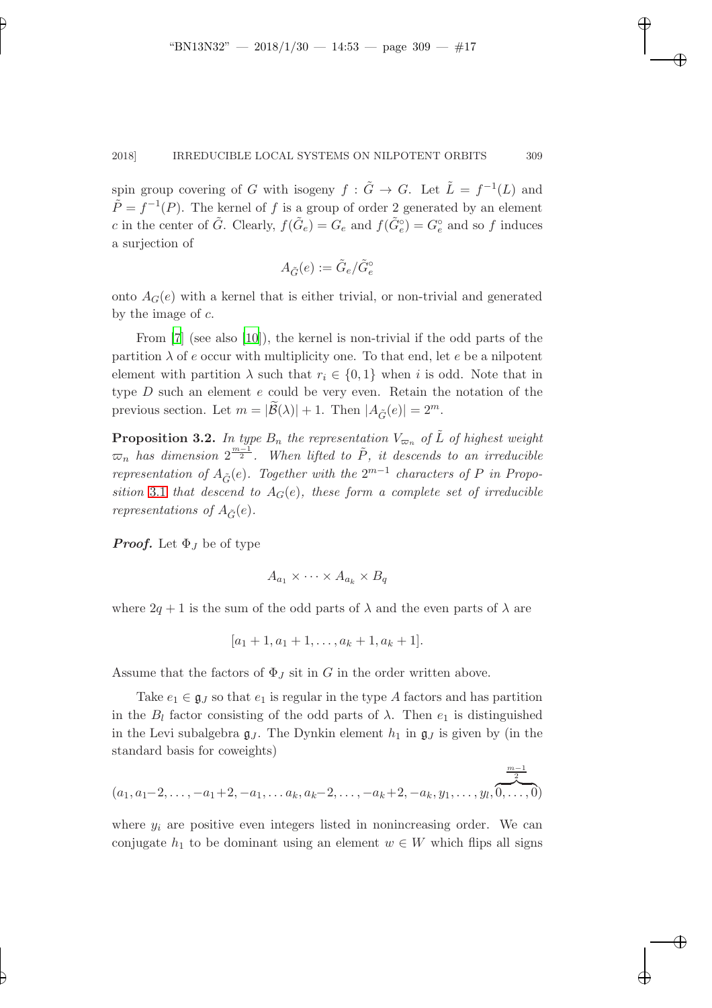spin group covering of G with isogeny  $f : \tilde{G} \to G$ . Let  $\tilde{L} = f^{-1}(L)$  and  $\tilde{P} = f^{-1}(P)$ . The kernel of f is a group of order 2 generated by an element c in the center of  $\tilde{G}$ . Clearly,  $f(\tilde{G}_e) = G_e$  and  $f(\tilde{G}_e^{\circ}) = G_e^{\circ}$  and so f induces a surjection of

$$
A_{\tilde{G}}(e):=\tilde{G}_e/\tilde{G}_e^{\circ}
$$

onto  $A_G(e)$  with a kernel that is either trivial, or non-trivial and generated by the image of  $c$ .

From [\[7\]](#page-22-3) (see also [\[10\]](#page-22-1)), the kernel is non-trivial if the odd parts of the partition  $\lambda$  of e occur with multiplicity one. To that end, let e be a nilpotent element with partition  $\lambda$  such that  $r_i \in \{0,1\}$  when i is odd. Note that in type  $D$  such an element  $e$  could be very even. Retain the notation of the previous section. Let  $m = |\widetilde{\mathcal{B}}(\lambda)| + 1$ . Then  $|A_{\widetilde{\mathcal{C}}}(e)| = 2^m$ .

**Proposition 3.2.** In type  $B_n$  the representation  $V_{\varpi_n}$  of  $\tilde{L}$  of highest weight  $\overline{\infty}_n$  has dimension  $2^{\frac{m-1}{2}}$ . When lifted to  $\tilde{P}$ , it descends to an irreducible representation of  $A_{\tilde{G}}(e)$ . Together with the  $2^{m-1}$  characters of P in Propo-sition [3.1](#page-15-0) that descend to  $A_G(e)$ , these form a complete set of irreducible representations of  $A_{\tilde{G}}(e)$ .

**Proof.** Let  $\Phi_J$  be of type

$$
A_{a_1} \times \cdots \times A_{a_k} \times B_q
$$

where  $2q + 1$  is the sum of the odd parts of  $\lambda$  and the even parts of  $\lambda$  are

$$
[a_1+1, a_1+1, \ldots, a_k+1, a_k+1].
$$

Assume that the factors of  $\Phi_J$  sit in G in the order written above.

Take  $e_1 \in \mathfrak{g}_J$  so that  $e_1$  is regular in the type A factors and has partition in the  $B_l$  factor consisting of the odd parts of  $\lambda$ . Then  $e_1$  is distinguished in the Levi subalgebra  $g_J$ . The Dynkin element  $h_1$  in  $g_J$  is given by (in the standard basis for coweights)

$$
(a_1, a_1-2, \ldots, -a_1+2, -a_1, \ldots, a_k, a_k-2, \ldots, -a_k+2, -a_k, y_1, \ldots, y_l, \underbrace{\overbrace{\frac{m-1}{2}}^{m-1}}
$$

where  $y_i$  are positive even integers listed in nonincreasing order. We can conjugate  $h_1$  to be dominant using an element  $w \in W$  which flips all signs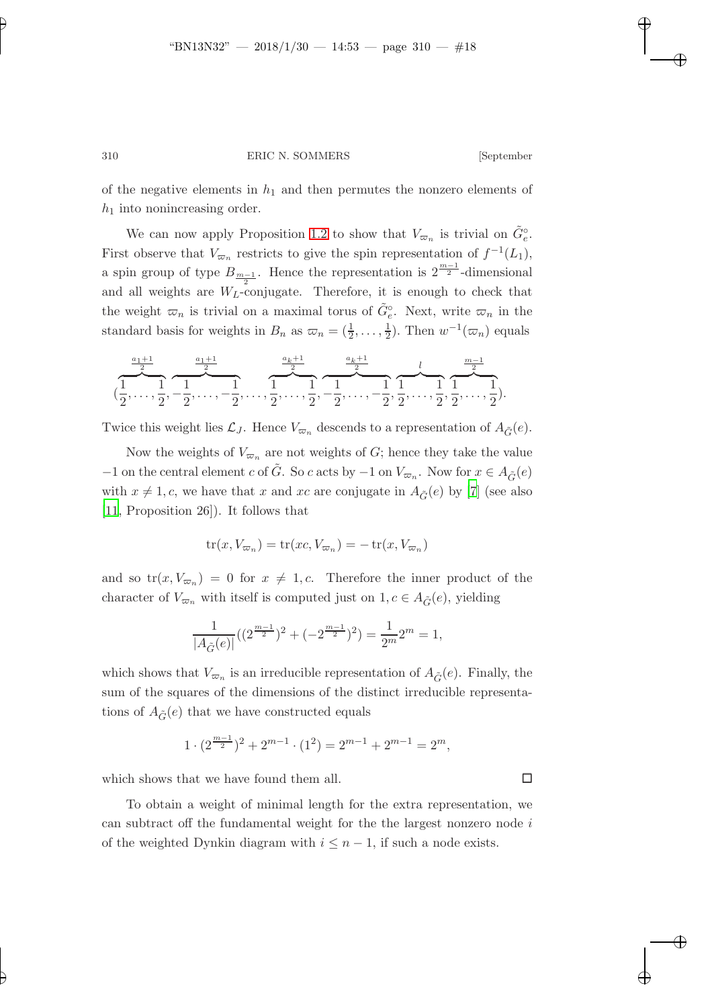of the negative elements in  $h_1$  and then permutes the nonzero elements of  $h_1$  into nonincreasing order.

We can now apply Proposition [1.2](#page-3-0) to show that  $V_{\varpi_n}$  is trivial on  $\tilde{G}_e^{\circ}$ . First observe that  $V_{\varpi_n}$  restricts to give the spin representation of  $f^{-1}(L_1)$ , a spin group of type  $B_{\frac{m-1}{2}}$ . Hence the representation is  $2^{\frac{m-1}{2}}$ -dimensional and all weights are  $W_L$ -conjugate. Therefore, it is enough to check that the weight  $\varpi_n$  is trivial on a maximal torus of  $\tilde{G}^\circ_e$ . Next, write  $\varpi_n$  in the standard basis for weights in  $B_n$  as  $\overline{\omega}_n = (\frac{1}{2}, \ldots, \frac{1}{2})$  $(\frac{1}{2})$ . Then  $w^{-1}(\varpi_n)$  equals

$$
(\frac{\frac{a_1+1}{2}}{2}, \frac{\frac{a_1+1}{2}}{2}, \frac{\frac{a_1+1}{2}}{2}, \dots, \frac{1}{2}, \dots, \frac{1}{2}, \frac{1}{2}, \frac{1}{2}, \dots, -\frac{1}{2}, \frac{1}{2}, \dots, -\frac{1}{2}, \frac{1}{2}, \dots, \frac{1}{2}, \frac{1}{2}, \dots, \frac{1}{2}).
$$

Twice this weight lies  $\mathcal{L}_J$ . Hence  $V_{\varpi_n}$  descends to a representation of  $A_{\tilde{G}}(e)$ .

Now the weights of  $V_{\varpi_n}$  are not weights of G; hence they take the value −1 on the central element c of  $\tilde{G}$ . So c acts by −1 on  $V_{\varpi_n}$ . Now for  $x \in A_{\tilde{G}}(e)$ with  $x \neq 1, c$ , we have that x and xc are conjugate in  $A_{\tilde{G}}(e)$  by [\[7\]](#page-22-3) (see also [\[11](#page-22-0), Proposition 26]). It follows that

$$
tr(x, V_{\varpi_n}) = tr(xc, V_{\varpi_n}) = -tr(x, V_{\varpi_n})
$$

and so  $tr(x, V_{\varpi_n}) = 0$  for  $x \neq 1, c$ . Therefore the inner product of the character of  $V_{\varpi_n}$  with itself is computed just on  $1, c \in A_{\tilde{G}}(e)$ , yielding

$$
\frac{1}{|A_{\tilde{G}}(e)|}((2^{\frac{m-1}{2}})^2+(-2^{\frac{m-1}{2}})^2)=\frac{1}{2^m}2^m=1,
$$

which shows that  $V_{\varpi_n}$  is an irreducible representation of  $A_{\tilde{G}}(e)$ . Finally, the sum of the squares of the dimensions of the distinct irreducible representations of  $A_{\tilde{G}}(e)$  that we have constructed equals

$$
1\cdot (2^{\frac{m-1}{2}})^2+2^{m-1}\cdot (1^2)=2^{m-1}+2^{m-1}=2^m,
$$

which shows that we have found them all.  $\square$ 

To obtain a weight of minimal length for the extra representation, we can subtract off the fundamental weight for the the largest nonzero node i of the weighted Dynkin diagram with  $i \leq n-1$ , if such a node exists.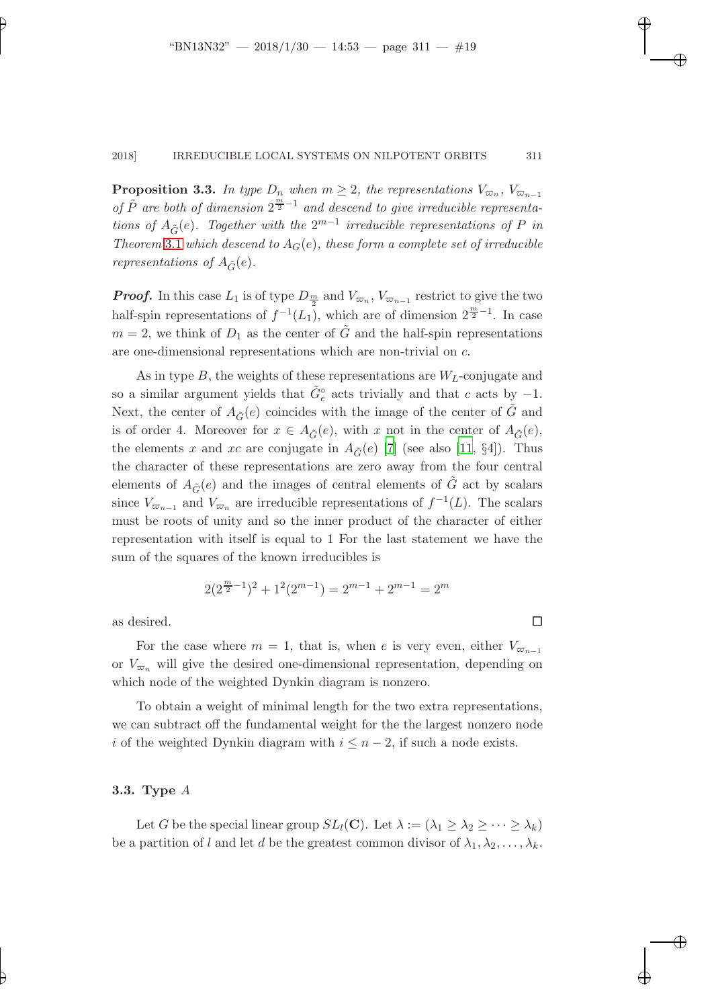**Proposition 3.3.** In type  $D_n$  when  $m \geq 2$ , the representations  $V_{\varpi_n}$ ,  $V_{\varpi_{n-1}}$ of  $\tilde{P}$  are both of dimension  $2^{\frac{m}{2}-1}$  and descend to give irreducible representations of  $A_{\tilde{G}}(e)$ . Together with the  $2^{m-1}$  irreducible representations of P in Theorem [3.1](#page-15-0) which descend to  $A_G(e)$ , these form a complete set of irreducible representations of  $A_{\tilde{G}}(e)$ .

**Proof.** In this case  $L_1$  is of type  $D_{\frac{m}{2}}$  and  $V_{\varpi_n}$ ,  $V_{\varpi_{n-1}}$  restrict to give the two half-spin representations of  $f^{-1}(L_1)$ , which are of dimension  $2^{\frac{m}{2}-1}$ . In case  $m = 2$ , we think of  $D_1$  as the center of  $\tilde{G}$  and the half-spin representations are one-dimensional representations which are non-trivial on c.

As in type B, the weights of these representations are  $W_L$ -conjugate and so a similar argument yields that  $\tilde{G}^{\circ}_{e}$  acts trivially and that c acts by -1. Next, the center of  $A_{\tilde{G}}(e)$  coincides with the image of the center of  $\tilde{G}$  and is of order 4. Moreover for  $x \in A_{\tilde{G}}(e)$ , with x not in the center of  $A_{\tilde{G}}(e)$ , the elements x and xc are conjugate in  $A_{\tilde{C}}(e)$  [\[7](#page-22-3)] (see also [\[11](#page-22-0), §4]). Thus the character of these representations are zero away from the four central elements of  $A_{\tilde{G}}(e)$  and the images of central elements of  $\tilde{G}$  act by scalars since  $V_{\varpi_{n-1}}$  and  $V_{\varpi_n}$  are irreducible representations of  $f^{-1}(L)$ . The scalars must be roots of unity and so the inner product of the character of either representation with itself is equal to 1 For the last statement we have the sum of the squares of the known irreducibles is

$$
2(2^{\frac{m}{2}-1})^2 + 1^2(2^{m-1}) = 2^{m-1} + 2^{m-1} = 2^m
$$

as desired.  $\Box$ 

For the case where  $m = 1$ , that is, when e is very even, either  $V_{\varpi_{n-1}}$ or  $V_{\varpi_n}$  will give the desired one-dimensional representation, depending on which node of the weighted Dynkin diagram is nonzero.

To obtain a weight of minimal length for the two extra representations, we can subtract off the fundamental weight for the the largest nonzero node i of the weighted Dynkin diagram with  $i \leq n-2$ , if such a node exists.

## 3.3. Type A

Let G be the special linear group  $SL_l(\mathbf{C})$ . Let  $\lambda := (\lambda_1 \geq \lambda_2 \geq \cdots \geq \lambda_k)$ be a partition of l and let d be the greatest common divisor of  $\lambda_1, \lambda_2, \ldots, \lambda_k$ .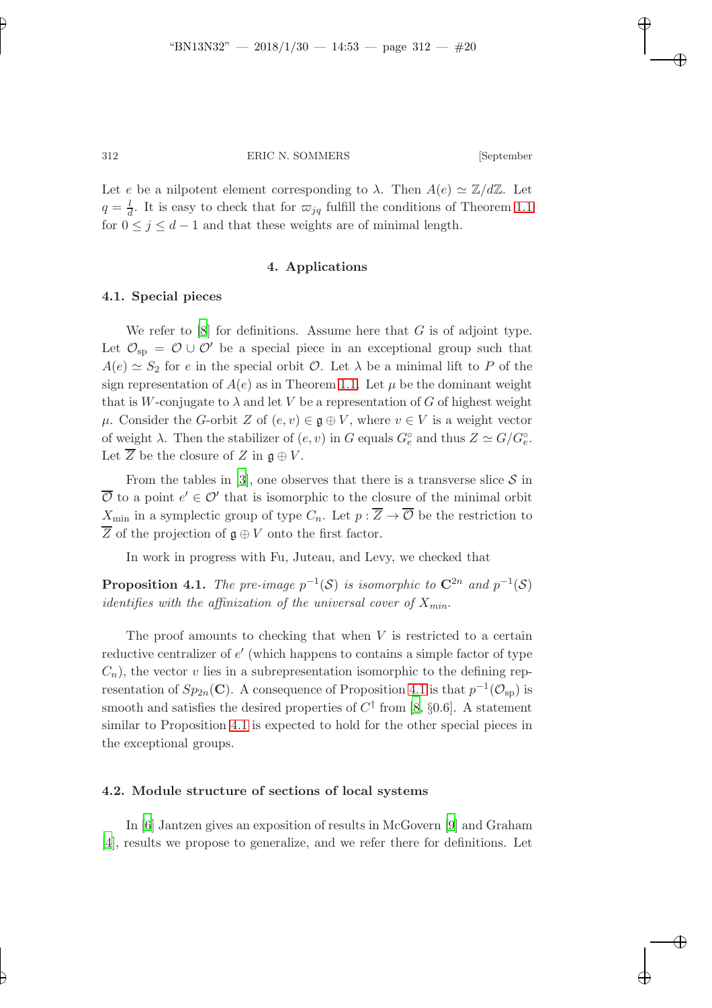Let e be a nilpotent element corresponding to  $\lambda$ . Then  $A(e) \simeq \mathbb{Z}/d\mathbb{Z}$ . Let  $q = \frac{l}{d}$ . It is easy to check that for  $\varpi_{jq}$  fulfill the conditions of Theorem [1.1](#page-1-0) for  $0 \leq j \leq d-1$  and that these weights are of minimal length.

## 4. Applications

## 4.1. Special pieces

We refer to  $[8]$  for definitions. Assume here that G is of adjoint type. Let  $\mathcal{O}_{sp} = \mathcal{O} \cup \mathcal{O}'$  be a special piece in an exceptional group such that  $A(e) \simeq S_2$  for e in the special orbit  $\mathcal{O}$ . Let  $\lambda$  be a minimal lift to P of the sign representation of  $A(e)$  as in Theorem [1.1.](#page-1-0) Let  $\mu$  be the dominant weight that is W-conjugate to  $\lambda$  and let V be a representation of G of highest weight  $\mu$ . Consider the G-orbit Z of  $(e, v) \in \mathfrak{g} \oplus V$ , where  $v \in V$  is a weight vector of weight  $\lambda$ . Then the stabilizer of  $(e, v)$  in G equals  $G_e^{\circ}$  and thus  $Z \simeq G/G_e^{\circ}$ . Let  $\overline{Z}$  be the closure of  $Z$  in  $\mathfrak{g} \oplus V$ .

From the tables in [\[3\]](#page-21-3), one observes that there is a transverse slice  $S$  in  $\overline{\mathcal{O}}$  to a point  $e' \in \mathcal{O}'$  that is isomorphic to the closure of the minimal orbit  $X_{\text{min}}$  in a symplectic group of type  $C_n$ . Let  $p : \overline{Z} \to \overline{\mathcal{O}}$  be the restriction to  $\overline{Z}$  of the projection of  $\mathfrak{g} \oplus V$  onto the first factor.

<span id="page-19-0"></span>In work in progress with Fu, Juteau, and Levy, we checked that

**Proposition 4.1.** The pre-image  $p^{-1}(\mathcal{S})$  is isomorphic to  $\mathbb{C}^{2n}$  and  $p^{-1}(\mathcal{S})$ identifies with the affinization of the universal cover of  $X_{min}$ .

The proof amounts to checking that when  $V$  is restricted to a certain reductive centralizer of  $e'$  (which happens to contains a simple factor of type  $C_n$ , the vector v lies in a subrepresentation isomorphic to the defining representation of  $Sp_{2n}(\mathbf{C})$ . A consequence of Proposition [4.1](#page-19-0) is that  $p^{-1}(\mathcal{O}_{\text{sp}})$  is smooth and satisfies the desired properties of  $C^{\dagger}$  from [\[8](#page-22-2), §0.6]. A statement similar to Proposition [4.1](#page-19-0) is expected to hold for the other special pieces in the exceptional groups.

## 4.2. Module structure of sections of local systems

In [\[6](#page-22-4)] Jantzen gives an exposition of results in McGovern [\[9\]](#page-22-5) and Graham [\[4](#page-21-4)], results we propose to generalize, and we refer there for definitions. Let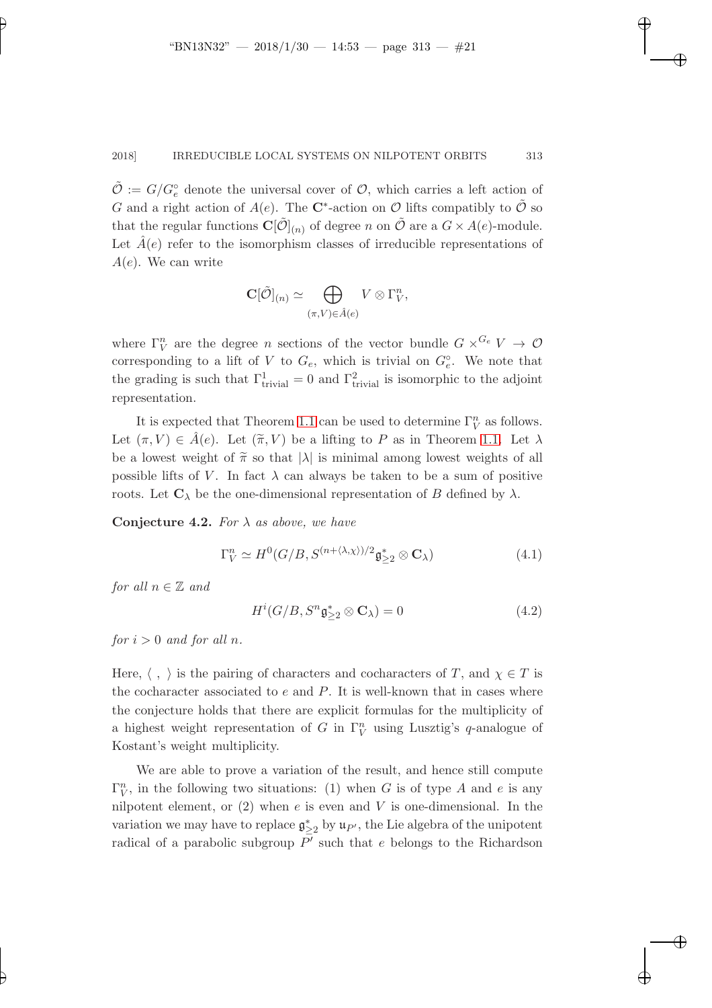$\tilde{\mathcal{O}} := G/G_e^{\circ}$  denote the universal cover of  $\mathcal{O}$ , which carries a left action of G and a right action of  $A(e)$ . The C<sup>\*</sup>-action on O lifts compatibly to  $\tilde{\mathcal{O}}$  so that the regular functions  $\mathbf{C}[\tilde{\mathcal{O}}]_{(n)}$  of degree n on  $\tilde{\mathcal{O}}$  are a  $G \times A(e)$ -module. Let  $\tilde{A}(e)$  refer to the isomorphism classes of irreducible representations of  $A(e)$ . We can write

$$
\mathbf{C}[\tilde{\mathcal{O}}]_{(n)} \simeq \bigoplus_{(\pi,V)\in \hat{A}(e)} V\otimes \Gamma_V^n,
$$

where  $\Gamma_V^n$  are the degree *n* sections of the vector bundle  $G \times^{G_e} V \to \mathcal{O}$ corresponding to a lift of V to  $G_e$ , which is trivial on  $G_e^{\circ}$ . We note that the grading is such that  $\Gamma^1_{\text{trivial}} = 0$  and  $\Gamma^2_{\text{trivial}}$  is isomorphic to the adjoint representation.

It is expected that Theorem [1.1](#page-1-0) can be used to determine  $\Gamma_V^n$  as follows. Let  $(\pi, V) \in A(e)$ . Let  $(\widetilde{\pi}, V)$  be a lifting to P as in Theorem [1.1.](#page-1-0) Let  $\lambda$ be a lowest weight of  $\tilde{\pi}$  so that  $|\lambda|$  is minimal among lowest weights of all possible lifts of V. In fact  $\lambda$  can always be taken to be a sum of positive roots. Let  $\mathbf{C}_{\lambda}$  be the one-dimensional representation of B defined by  $\lambda$ .

Conjecture 4.2. For  $\lambda$  as above, we have

$$
\Gamma_V^n \simeq H^0(G/B, S^{(n+\langle \lambda, \chi \rangle)/2} \mathfrak{g}_{\geq 2}^* \otimes \mathbf{C}_\lambda)
$$
\n(4.1)

for all  $n \in \mathbb{Z}$  and

$$
H^{i}(G/B, S^{n} \mathfrak{g}^*_{\geq 2} \otimes \mathbf{C}_{\lambda}) = 0 \qquad (4.2)
$$

for  $i > 0$  and for all n.

Here,  $\langle , \rangle$  is the pairing of characters and cocharacters of T, and  $\chi \in T$  is the cocharacter associated to  $e$  and  $P$ . It is well-known that in cases where the conjecture holds that there are explicit formulas for the multiplicity of a highest weight representation of G in  $\Gamma_V^n$  using Lusztig's q-analogue of Kostant's weight multiplicity.

We are able to prove a variation of the result, and hence still compute  $\Gamma_V^n$ , in the following two situations: (1) when G is of type A and e is any nilpotent element, or  $(2)$  when e is even and V is one-dimensional. In the variation we may have to replace  $\mathfrak{g}^*_{\geq 2}$  by  $\mathfrak{u}_{P'}$ , the Lie algebra of the unipotent radical of a parabolic subgroup  $P'$  such that e belongs to the Richardson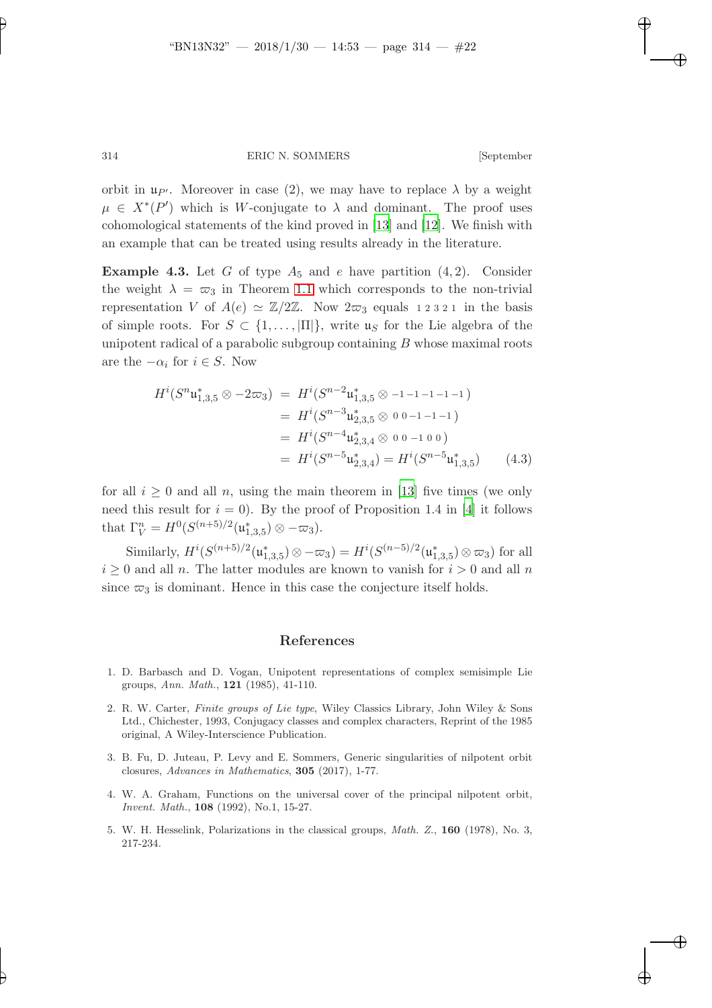orbit in  $\mathfrak{u}_{P'}$ . Moreover in case (2), we may have to replace  $\lambda$  by a weight  $\mu \in X^*(P')$  which is W-conjugate to  $\lambda$  and dominant. The proof uses cohomological statements of the kind proved in [\[13\]](#page-22-6) and [\[12](#page-22-7)]. We finish with an example that can be treated using results already in the literature.

**Example 4.3.** Let G of type  $A_5$  and e have partition  $(4, 2)$ . Consider the weight  $\lambda = \varpi_3$  in Theorem [1.1](#page-1-0) which corresponds to the non-trivial representation V of  $A(e) \simeq \mathbb{Z}/2\mathbb{Z}$ . Now  $2\varpi_3$  equals 12321 in the basis of simple roots. For  $S \subset \{1, \ldots, |\Pi|\}$ , write  $\mathfrak{u}_S$  for the Lie algebra of the unipotent radical of a parabolic subgroup containing  $B$  whose maximal roots are the  $-\alpha_i$  for  $i \in S$ . Now

$$
H^{i}(S^{n} \mathfrak{u}_{1,3,5}^{*} \otimes -2\varpi_{3}) = H^{i}(S^{n-2} \mathfrak{u}_{1,3,5}^{*} \otimes -1 -1 -1 -1 -1)
$$
  
\n
$$
= H^{i}(S^{n-3} \mathfrak{u}_{2,3,5}^{*} \otimes 0 0 -1 -1 -1)
$$
  
\n
$$
= H^{i}(S^{n-4} \mathfrak{u}_{2,3,4}^{*} \otimes 0 0 -1 0 0)
$$
  
\n
$$
= H^{i}(S^{n-5} \mathfrak{u}_{2,3,4}^{*}) = H^{i}(S^{n-5} \mathfrak{u}_{1,3,5}^{*}) \qquad (4.3)
$$

for all  $i \geq 0$  and all n, using the main theorem in [\[13\]](#page-22-6) five times (we only need this result for  $i = 0$ ). By the proof of Proposition 1.4 in [\[4](#page-21-4)] it follows that  $\Gamma_V^n = H^0(S^{(n+5)/2}(\mathfrak{u}_{1,3,5}^*) \otimes -\varpi_3).$ 

Similarly,  $H^i(S^{(n+5)/2}(\mathfrak{u}_{1,3,5}^*)\otimes -\overline{\omega}_3) = H^i(S^{(n-5)/2}(\mathfrak{u}_{1,3,5}^*)\otimes \overline{\omega}_3)$  for all  $i \geq 0$  and all n. The latter modules are known to vanish for  $i > 0$  and all n since  $\varpi_3$  is dominant. Hence in this case the conjecture itself holds.

## References

- <span id="page-21-1"></span>1. D. Barbasch and D. Vogan, Unipotent representations of complex semisimple Lie groups, Ann. Math., 121 (1985), 41-110.
- <span id="page-21-0"></span>2. R. W. Carter, Finite groups of Lie type, Wiley Classics Library, John Wiley & Sons Ltd., Chichester, 1993, Conjugacy classes and complex characters, Reprint of the 1985 original, A Wiley-Interscience Publication.
- <span id="page-21-3"></span>3. B. Fu, D. Juteau, P. Levy and E. Sommers, Generic singularities of nilpotent orbit closures, Advances in Mathematics, 305 (2017), 1-77.
- <span id="page-21-4"></span>4. W. A. Graham, Functions on the universal cover of the principal nilpotent orbit, Invent. Math., 108 (1992), No.1, 15-27.
- <span id="page-21-2"></span>5. W. H. Hesselink, Polarizations in the classical groups, Math. Z., 160 (1978), No. 3, 217-234.